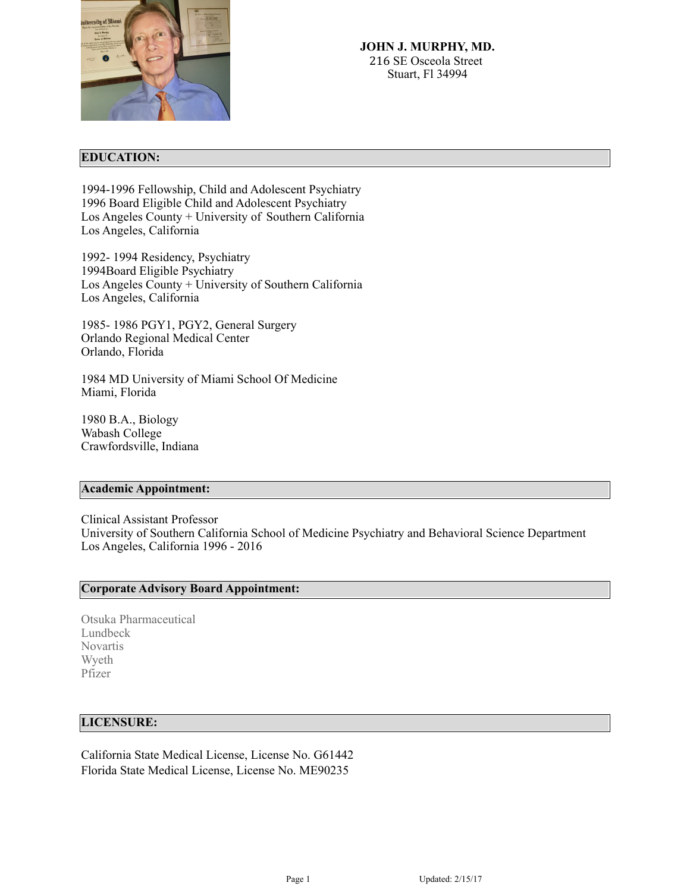

#### **EDUCATION:**

1994-1996 Fellowship, Child and Adolescent Psychiatry 1996 Board Eligible Child and Adolescent Psychiatry Los Angeles County + University of Southern California Los Angeles, California

1992- 1994 Residency, Psychiatry 1994Board Eligible Psychiatry Los Angeles County + University of Southern California Los Angeles, California

1985- 1986 PGY1, PGY2, General Surgery Orlando Regional Medical Center Orlando, Florida

1984 MD University of Miami School Of Medicine Miami, Florida

1980 B.A., Biology Wabash College Crawfordsville, Indiana

#### **Academic Appointment:**

Clinical Assistant Professor University of Southern California School of Medicine Psychiatry and Behavioral Science Department Los Angeles, California 1996 - 2016

#### **Corporate Advisory Board Appointment:**

Otsuka Pharmaceutical Lundbeck **Novartis** Wyeth Pfizer

#### **LICENSURE:**

California State Medical License, License No. G61442 Florida State Medical License, License No. ME90235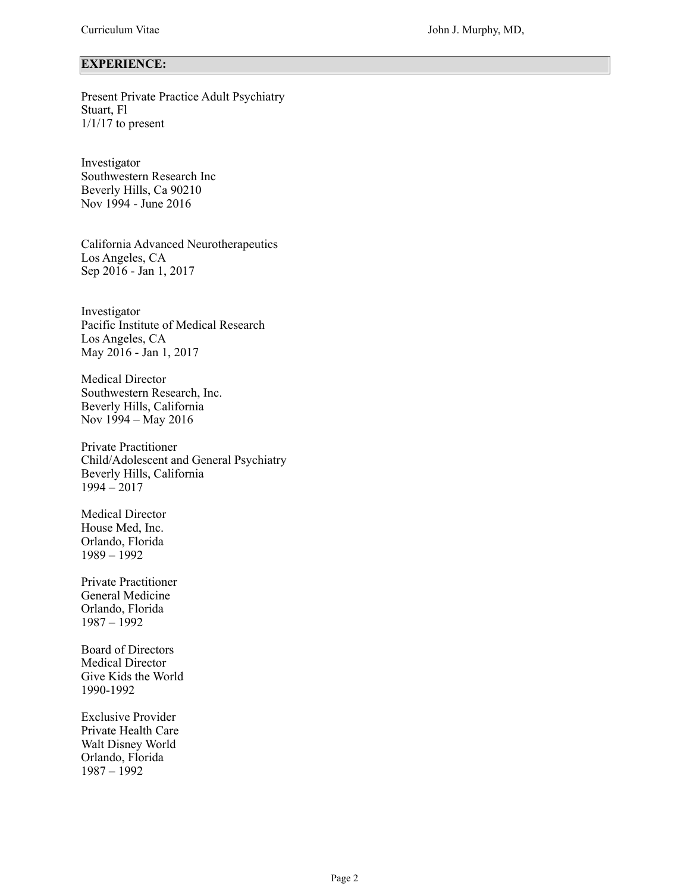#### **EXPERIENCE:**

Present Private Practice Adult Psychiatry Stuart, Fl  $1/1/17$  to present

Investigator Southwestern Research Inc Beverly Hills, Ca 90210 Nov 1994 - June 2016

California Advanced Neurotherapeutics Los Angeles, CA Sep 2016 - Jan 1, 2017

Investigator Pacific Institute of Medical Research Los Angeles, CA May 2016 - Jan 1, 2017

Medical Director Southwestern Research, Inc. Beverly Hills, California Nov 1994 – May 2016

Private Practitioner Child/Adolescent and General Psychiatry Beverly Hills, California  $1994 - 2017$ 

Medical Director House Med, Inc. Orlando, Florida 1989 – 1992

Private Practitioner General Medicine Orlando, Florida 1987 – 1992

Board of Directors Medical Director Give Kids the World 1990-1992

Exclusive Provider Private Health Care Walt Disney World Orlando, Florida 1987 – 1992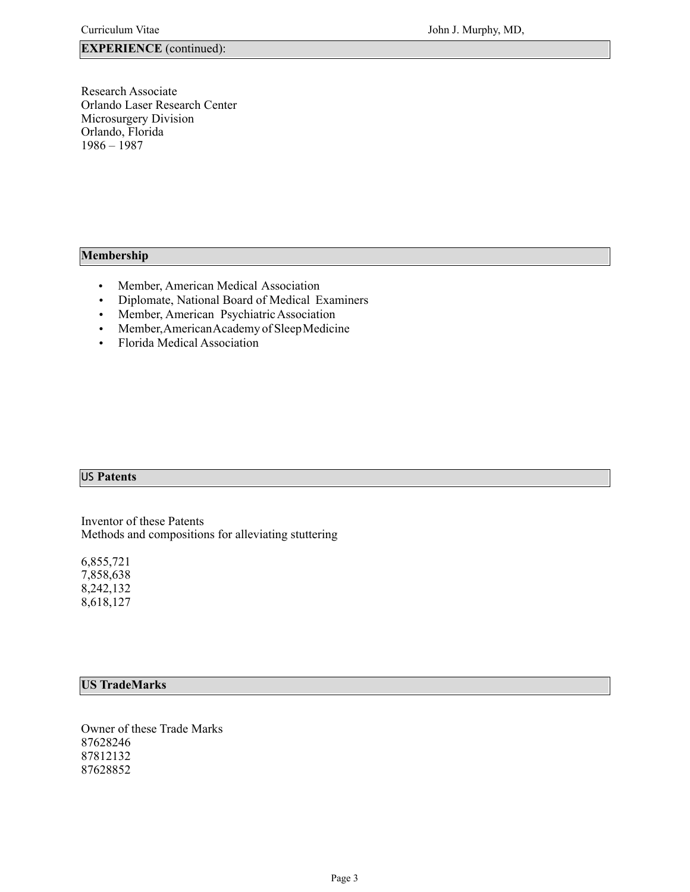#### **EXPERIENCE** (continued):

Research Associate Orlando Laser Research Center Microsurgery Division Orlando, Florida 1986 – 1987

#### **Membership**

- Member, American Medical Association
- Diplomate, National Board of Medical Examiners
- Member, American Psychiatric Association
- Member,AmericanAcademy of SleepMedicine
- Florida Medical Association

#### US **Patents**

Inventor of these Patents Methods and compositions for alleviating stuttering

6,855,721 7,858,638 8,242,132 8,618,127

#### **US TradeMarks**

Owner of these Trade Marks 87628246 87812132 87628852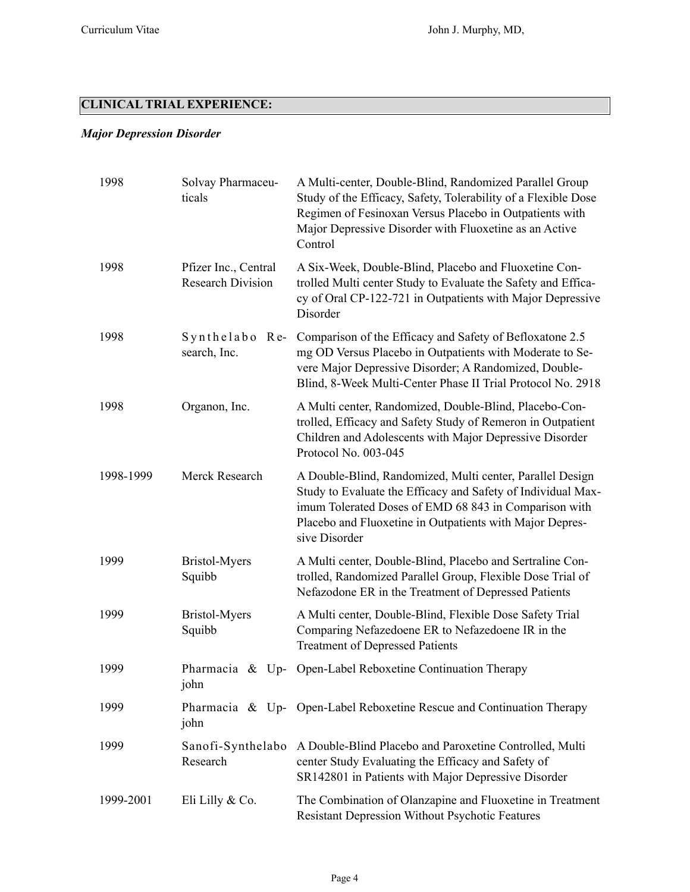## **CLINICAL TRIAL EXPERIENCE:**

### *Major Depression Disorder*

| 1998      | Solvay Pharmaceu-<br>ticals                      | A Multi-center, Double-Blind, Randomized Parallel Group<br>Study of the Efficacy, Safety, Tolerability of a Flexible Dose<br>Regimen of Fesinoxan Versus Placebo in Outpatients with<br>Major Depressive Disorder with Fluoxetine as an Active<br>Control       |
|-----------|--------------------------------------------------|-----------------------------------------------------------------------------------------------------------------------------------------------------------------------------------------------------------------------------------------------------------------|
| 1998      | Pfizer Inc., Central<br><b>Research Division</b> | A Six-Week, Double-Blind, Placebo and Fluoxetine Con-<br>trolled Multi center Study to Evaluate the Safety and Effica-<br>cy of Oral CP-122-721 in Outpatients with Major Depressive<br>Disorder                                                                |
| 1998      | Synthelabo<br>R e-<br>search, Inc.               | Comparison of the Efficacy and Safety of Befloxatone 2.5<br>mg OD Versus Placebo in Outpatients with Moderate to Se-<br>vere Major Depressive Disorder; A Randomized, Double-<br>Blind, 8-Week Multi-Center Phase II Trial Protocol No. 2918                    |
| 1998      | Organon, Inc.                                    | A Multi center, Randomized, Double-Blind, Placebo-Con-<br>trolled, Efficacy and Safety Study of Remeron in Outpatient<br>Children and Adolescents with Major Depressive Disorder<br>Protocol No. 003-045                                                        |
| 1998-1999 | Merck Research                                   | A Double-Blind, Randomized, Multi center, Parallel Design<br>Study to Evaluate the Efficacy and Safety of Individual Max-<br>imum Tolerated Doses of EMD 68 843 in Comparison with<br>Placebo and Fluoxetine in Outpatients with Major Depres-<br>sive Disorder |
| 1999      | <b>Bristol-Myers</b><br>Squibb                   | A Multi center, Double-Blind, Placebo and Sertraline Con-<br>trolled, Randomized Parallel Group, Flexible Dose Trial of<br>Nefazodone ER in the Treatment of Depressed Patients                                                                                 |
| 1999      | <b>Bristol-Myers</b><br>Squibb                   | A Multi center, Double-Blind, Flexible Dose Safety Trial<br>Comparing Nefazedoene ER to Nefazedoene IR in the<br><b>Treatment of Depressed Patients</b>                                                                                                         |
| 1999      | john                                             | Pharmacia & Up- Open-Label Reboxetine Continuation Therapy                                                                                                                                                                                                      |
| 1999      | john                                             | Pharmacia & Up- Open-Label Reboxetine Rescue and Continuation Therapy                                                                                                                                                                                           |
| 1999      | Sanofi-Synthelabo<br>Research                    | A Double-Blind Placebo and Paroxetine Controlled, Multi<br>center Study Evaluating the Efficacy and Safety of<br>SR142801 in Patients with Major Depressive Disorder                                                                                            |
| 1999-2001 | Eli Lilly & Co.                                  | The Combination of Olanzapine and Fluoxetine in Treatment<br><b>Resistant Depression Without Psychotic Features</b>                                                                                                                                             |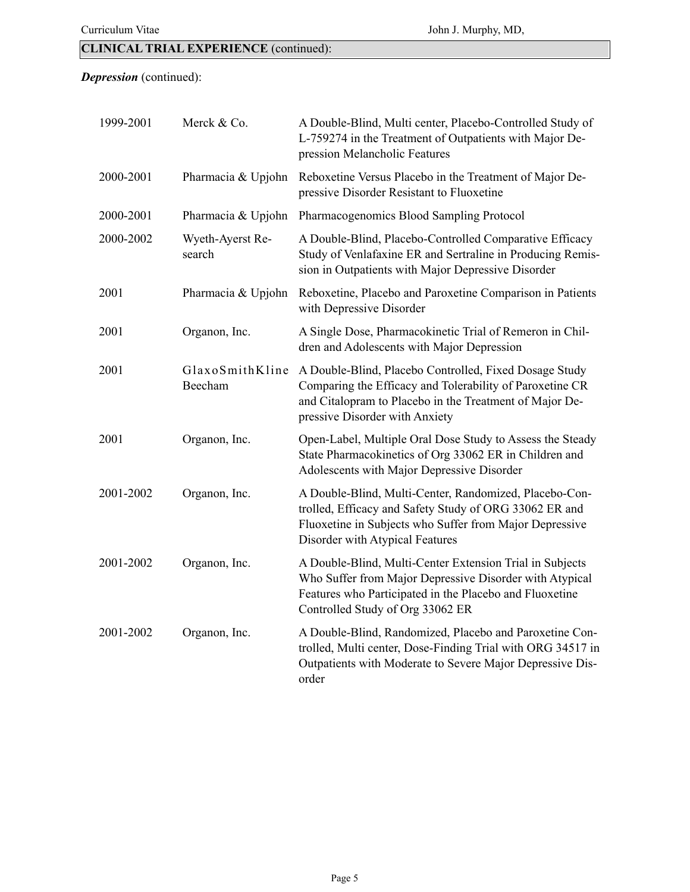| 1999-2001 | Merck & Co.                | A Double-Blind, Multi center, Placebo-Controlled Study of<br>L-759274 in the Treatment of Outpatients with Major De-<br>pression Melancholic Features                                                              |
|-----------|----------------------------|--------------------------------------------------------------------------------------------------------------------------------------------------------------------------------------------------------------------|
| 2000-2001 | Pharmacia & Upjohn         | Reboxetine Versus Placebo in the Treatment of Major De-<br>pressive Disorder Resistant to Fluoxetine                                                                                                               |
| 2000-2001 | Pharmacia & Upjohn         | Pharmacogenomics Blood Sampling Protocol                                                                                                                                                                           |
| 2000-2002 | Wyeth-Ayerst Re-<br>search | A Double-Blind, Placebo-Controlled Comparative Efficacy<br>Study of Venlafaxine ER and Sertraline in Producing Remis-<br>sion in Outpatients with Major Depressive Disorder                                        |
| 2001      | Pharmacia & Upjohn         | Reboxetine, Placebo and Paroxetine Comparison in Patients<br>with Depressive Disorder                                                                                                                              |
| 2001      | Organon, Inc.              | A Single Dose, Pharmacokinetic Trial of Remeron in Chil-<br>dren and Adolescents with Major Depression                                                                                                             |
| 2001      | GlaxoSmithKline<br>Beecham | A Double-Blind, Placebo Controlled, Fixed Dosage Study<br>Comparing the Efficacy and Tolerability of Paroxetine CR<br>and Citalopram to Placebo in the Treatment of Major De-<br>pressive Disorder with Anxiety    |
| 2001      | Organon, Inc.              | Open-Label, Multiple Oral Dose Study to Assess the Steady<br>State Pharmacokinetics of Org 33062 ER in Children and<br>Adolescents with Major Depressive Disorder                                                  |
| 2001-2002 | Organon, Inc.              | A Double-Blind, Multi-Center, Randomized, Placebo-Con-<br>trolled, Efficacy and Safety Study of ORG 33062 ER and<br>Fluoxetine in Subjects who Suffer from Major Depressive<br>Disorder with Atypical Features     |
| 2001-2002 | Organon, Inc.              | A Double-Blind, Multi-Center Extension Trial in Subjects<br>Who Suffer from Major Depressive Disorder with Atypical<br>Features who Participated in the Placebo and Fluoxetine<br>Controlled Study of Org 33062 ER |
| 2001-2002 | Organon, Inc.              | A Double-Blind, Randomized, Placebo and Paroxetine Con-<br>trolled, Multi center, Dose-Finding Trial with ORG 34517 in<br>Outpatients with Moderate to Severe Major Depressive Dis-<br>order                       |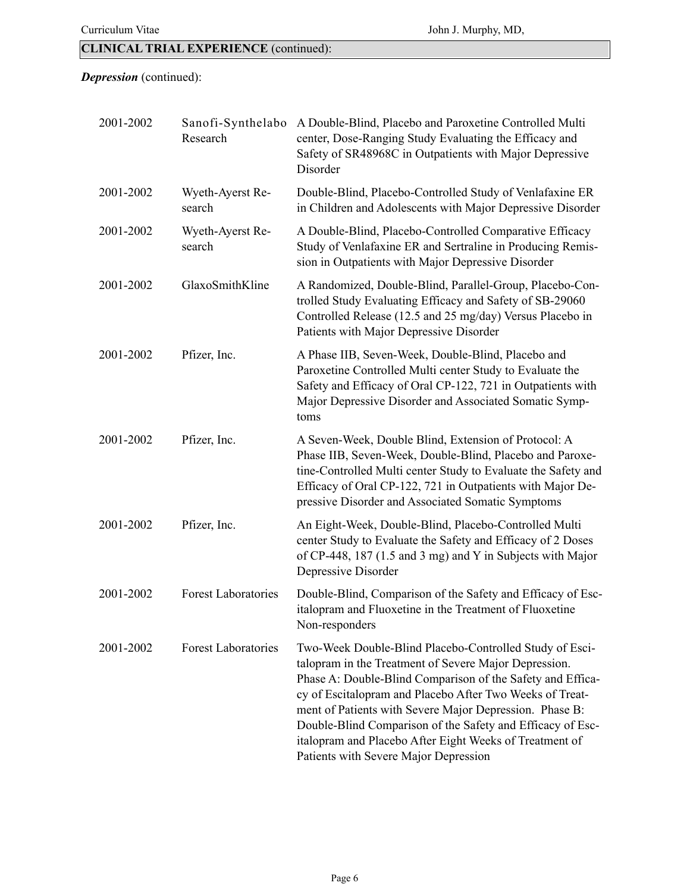| 2001-2002 | Sanofi-Synthelabo<br>Research | A Double-Blind, Placebo and Paroxetine Controlled Multi<br>center, Dose-Ranging Study Evaluating the Efficacy and<br>Safety of SR48968C in Outpatients with Major Depressive<br>Disorder                                                                                                                                                                                                                                                                                |
|-----------|-------------------------------|-------------------------------------------------------------------------------------------------------------------------------------------------------------------------------------------------------------------------------------------------------------------------------------------------------------------------------------------------------------------------------------------------------------------------------------------------------------------------|
| 2001-2002 | Wyeth-Ayerst Re-<br>search    | Double-Blind, Placebo-Controlled Study of Venlafaxine ER<br>in Children and Adolescents with Major Depressive Disorder                                                                                                                                                                                                                                                                                                                                                  |
| 2001-2002 | Wyeth-Ayerst Re-<br>search    | A Double-Blind, Placebo-Controlled Comparative Efficacy<br>Study of Venlafaxine ER and Sertraline in Producing Remis-<br>sion in Outpatients with Major Depressive Disorder                                                                                                                                                                                                                                                                                             |
| 2001-2002 | GlaxoSmithKline               | A Randomized, Double-Blind, Parallel-Group, Placebo-Con-<br>trolled Study Evaluating Efficacy and Safety of SB-29060<br>Controlled Release (12.5 and 25 mg/day) Versus Placebo in<br>Patients with Major Depressive Disorder                                                                                                                                                                                                                                            |
| 2001-2002 | Pfizer, Inc.                  | A Phase IIB, Seven-Week, Double-Blind, Placebo and<br>Paroxetine Controlled Multi center Study to Evaluate the<br>Safety and Efficacy of Oral CP-122, 721 in Outpatients with<br>Major Depressive Disorder and Associated Somatic Symp-<br>toms                                                                                                                                                                                                                         |
| 2001-2002 | Pfizer, Inc.                  | A Seven-Week, Double Blind, Extension of Protocol: A<br>Phase IIB, Seven-Week, Double-Blind, Placebo and Paroxe-<br>tine-Controlled Multi center Study to Evaluate the Safety and<br>Efficacy of Oral CP-122, 721 in Outpatients with Major De-<br>pressive Disorder and Associated Somatic Symptoms                                                                                                                                                                    |
| 2001-2002 | Pfizer, Inc.                  | An Eight-Week, Double-Blind, Placebo-Controlled Multi<br>center Study to Evaluate the Safety and Efficacy of 2 Doses<br>of CP-448, 187 (1.5 and 3 mg) and Y in Subjects with Major<br>Depressive Disorder                                                                                                                                                                                                                                                               |
| 2001-2002 | <b>Forest Laboratories</b>    | Double-Blind, Comparison of the Safety and Efficacy of Esc-<br>italopram and Fluoxetine in the Treatment of Fluoxetine<br>Non-responders                                                                                                                                                                                                                                                                                                                                |
| 2001-2002 | <b>Forest Laboratories</b>    | Two-Week Double-Blind Placebo-Controlled Study of Esci-<br>talopram in the Treatment of Severe Major Depression.<br>Phase A: Double-Blind Comparison of the Safety and Effica-<br>cy of Escitalopram and Placebo After Two Weeks of Treat-<br>ment of Patients with Severe Major Depression. Phase B:<br>Double-Blind Comparison of the Safety and Efficacy of Esc-<br>italopram and Placebo After Eight Weeks of Treatment of<br>Patients with Severe Major Depression |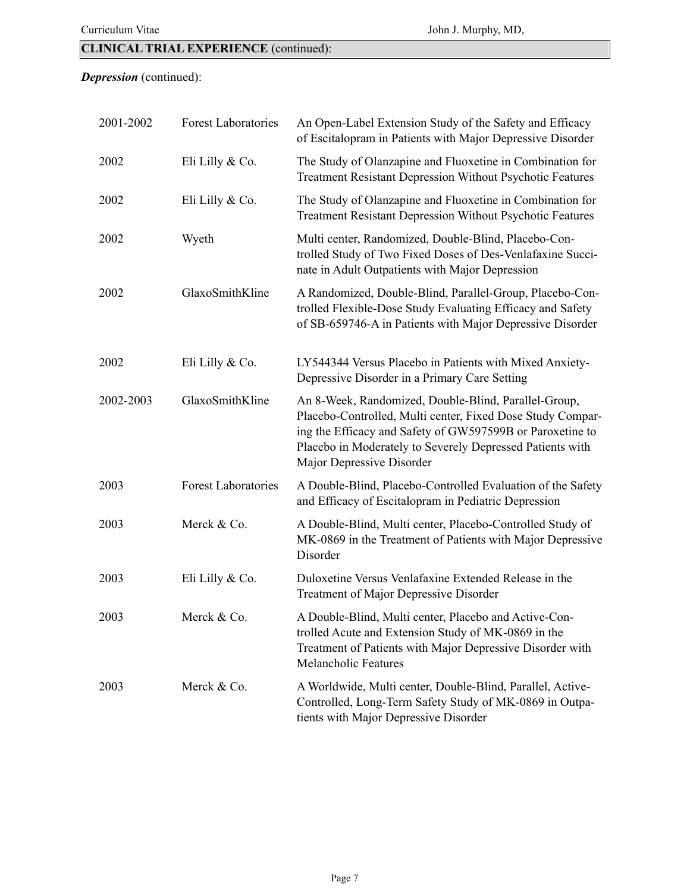| 2001-2002 | <b>Forest Laboratories</b> | An Open-Label Extension Study of the Safety and Efficacy<br>of Escitalopram in Patients with Major Depressive Disorder                                                                                                                                                    |
|-----------|----------------------------|---------------------------------------------------------------------------------------------------------------------------------------------------------------------------------------------------------------------------------------------------------------------------|
| 2002      | Eli Lilly & Co.            | The Study of Olanzapine and Fluoxetine in Combination for<br><b>Treatment Resistant Depression Without Psychotic Features</b>                                                                                                                                             |
| 2002      | Eli Lilly & Co.            | The Study of Olanzapine and Fluoxetine in Combination for<br>Treatment Resistant Depression Without Psychotic Features                                                                                                                                                    |
| 2002      | Wyeth                      | Multi center, Randomized, Double-Blind, Placebo-Con-<br>trolled Study of Two Fixed Doses of Des-Venlafaxine Succi-<br>nate in Adult Outpatients with Major Depression                                                                                                     |
| 2002      | GlaxoSmithKline            | A Randomized, Double-Blind, Parallel-Group, Placebo-Con-<br>trolled Flexible-Dose Study Evaluating Efficacy and Safety<br>of SB-659746-A in Patients with Major Depressive Disorder                                                                                       |
| 2002      | Eli Lilly & Co.            | LY544344 Versus Placebo in Patients with Mixed Anxiety-<br>Depressive Disorder in a Primary Care Setting                                                                                                                                                                  |
| 2002-2003 | GlaxoSmithKline            | An 8-Week, Randomized, Double-Blind, Parallel-Group,<br>Placebo-Controlled, Multi center, Fixed Dose Study Compar-<br>ing the Efficacy and Safety of GW597599B or Paroxetine to<br>Placebo in Moderately to Severely Depressed Patients with<br>Major Depressive Disorder |
| 2003      | <b>Forest Laboratories</b> | A Double-Blind, Placebo-Controlled Evaluation of the Safety<br>and Efficacy of Escitalopram in Pediatric Depression                                                                                                                                                       |
| 2003      | Merck & Co.                | A Double-Blind, Multi center, Placebo-Controlled Study of<br>MK-0869 in the Treatment of Patients with Major Depressive<br>Disorder                                                                                                                                       |
| 2003      | Eli Lilly & Co.            | Duloxetine Versus Venlafaxine Extended Release in the<br>Treatment of Major Depressive Disorder                                                                                                                                                                           |
| 2003      | Merck & Co.                | A Double-Blind, Multi center, Placebo and Active-Con-<br>trolled Acute and Extension Study of MK-0869 in the<br>Treatment of Patients with Major Depressive Disorder with<br>Melancholic Features                                                                         |
| 2003      | Merck & Co.                | A Worldwide, Multi center, Double-Blind, Parallel, Active-<br>Controlled, Long-Term Safety Study of MK-0869 in Outpa-<br>tients with Major Depressive Disorder                                                                                                            |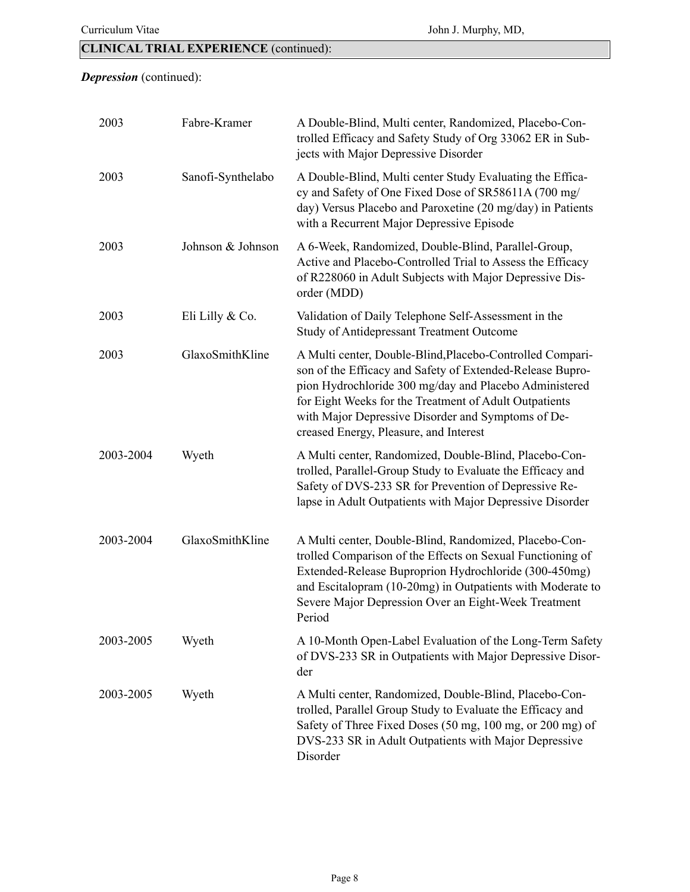#### Curriculum Vitae John J. Murphy, MD,

| 2003      | Fabre-Kramer      | A Double-Blind, Multi center, Randomized, Placebo-Con-<br>trolled Efficacy and Safety Study of Org 33062 ER in Sub-<br>jects with Major Depressive Disorder                                                                                                                                                                                |
|-----------|-------------------|--------------------------------------------------------------------------------------------------------------------------------------------------------------------------------------------------------------------------------------------------------------------------------------------------------------------------------------------|
| 2003      | Sanofi-Synthelabo | A Double-Blind, Multi center Study Evaluating the Effica-<br>cy and Safety of One Fixed Dose of SR58611A (700 mg/<br>day) Versus Placebo and Paroxetine (20 mg/day) in Patients<br>with a Recurrent Major Depressive Episode                                                                                                               |
| 2003      | Johnson & Johnson | A 6-Week, Randomized, Double-Blind, Parallel-Group,<br>Active and Placebo-Controlled Trial to Assess the Efficacy<br>of R228060 in Adult Subjects with Major Depressive Dis-<br>order (MDD)                                                                                                                                                |
| 2003      | Eli Lilly & Co.   | Validation of Daily Telephone Self-Assessment in the<br><b>Study of Antidepressant Treatment Outcome</b>                                                                                                                                                                                                                                   |
| 2003      | GlaxoSmithKline   | A Multi center, Double-Blind, Placebo-Controlled Compari-<br>son of the Efficacy and Safety of Extended-Release Bupro-<br>pion Hydrochloride 300 mg/day and Placebo Administered<br>for Eight Weeks for the Treatment of Adult Outpatients<br>with Major Depressive Disorder and Symptoms of De-<br>creased Energy, Pleasure, and Interest |
| 2003-2004 | Wyeth             | A Multi center, Randomized, Double-Blind, Placebo-Con-<br>trolled, Parallel-Group Study to Evaluate the Efficacy and<br>Safety of DVS-233 SR for Prevention of Depressive Re-<br>lapse in Adult Outpatients with Major Depressive Disorder                                                                                                 |
| 2003-2004 | GlaxoSmithKline   | A Multi center, Double-Blind, Randomized, Placebo-Con-<br>trolled Comparison of the Effects on Sexual Functioning of<br>Extended-Release Buproprion Hydrochloride (300-450mg)<br>and Escitalopram (10-20mg) in Outpatients with Moderate to<br>Severe Major Depression Over an Eight-Week Treatment<br>Period                              |
| 2003-2005 | Wyeth             | A 10-Month Open-Label Evaluation of the Long-Term Safety<br>of DVS-233 SR in Outpatients with Major Depressive Disor-<br>der                                                                                                                                                                                                               |
| 2003-2005 | Wyeth             | A Multi center, Randomized, Double-Blind, Placebo-Con-<br>trolled, Parallel Group Study to Evaluate the Efficacy and<br>Safety of Three Fixed Doses (50 mg, 100 mg, or 200 mg) of<br>DVS-233 SR in Adult Outpatients with Major Depressive<br>Disorder                                                                                     |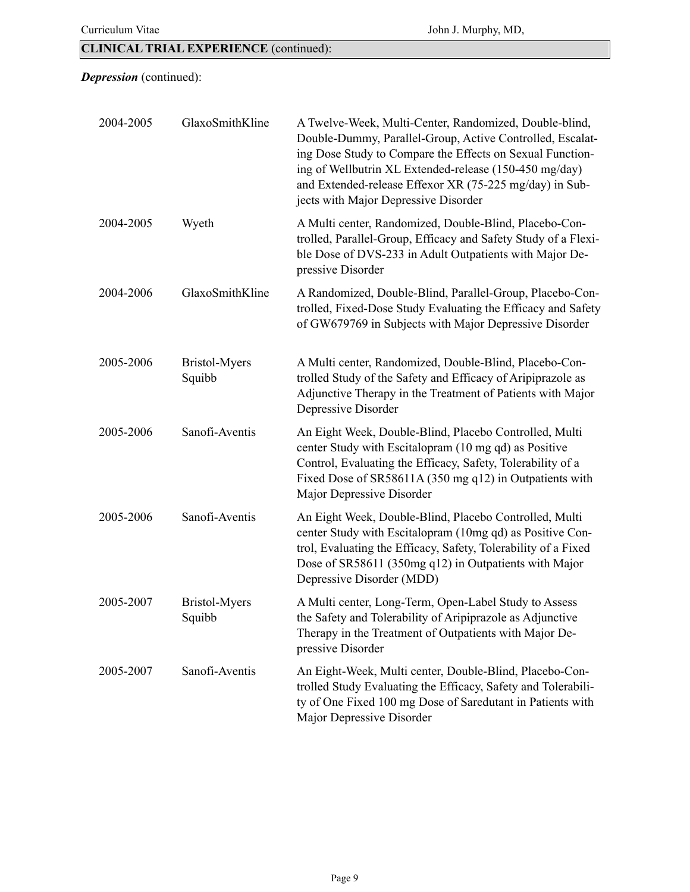| 2004-2005 | GlaxoSmithKline                | A Twelve-Week, Multi-Center, Randomized, Double-blind,<br>Double-Dummy, Parallel-Group, Active Controlled, Escalat-<br>ing Dose Study to Compare the Effects on Sexual Function-<br>ing of Wellbutrin XL Extended-release (150-450 mg/day)<br>and Extended-release Effexor XR (75-225 mg/day) in Sub-<br>jects with Major Depressive Disorder |
|-----------|--------------------------------|-----------------------------------------------------------------------------------------------------------------------------------------------------------------------------------------------------------------------------------------------------------------------------------------------------------------------------------------------|
| 2004-2005 | Wyeth                          | A Multi center, Randomized, Double-Blind, Placebo-Con-<br>trolled, Parallel-Group, Efficacy and Safety Study of a Flexi-<br>ble Dose of DVS-233 in Adult Outpatients with Major De-<br>pressive Disorder                                                                                                                                      |
| 2004-2006 | GlaxoSmithKline                | A Randomized, Double-Blind, Parallel-Group, Placebo-Con-<br>trolled, Fixed-Dose Study Evaluating the Efficacy and Safety<br>of GW679769 in Subjects with Major Depressive Disorder                                                                                                                                                            |
| 2005-2006 | <b>Bristol-Myers</b><br>Squibb | A Multi center, Randomized, Double-Blind, Placebo-Con-<br>trolled Study of the Safety and Efficacy of Aripiprazole as<br>Adjunctive Therapy in the Treatment of Patients with Major<br>Depressive Disorder                                                                                                                                    |
| 2005-2006 | Sanofi-Aventis                 | An Eight Week, Double-Blind, Placebo Controlled, Multi<br>center Study with Escitalopram (10 mg qd) as Positive<br>Control, Evaluating the Efficacy, Safety, Tolerability of a<br>Fixed Dose of SR58611A (350 mg q12) in Outpatients with<br>Major Depressive Disorder                                                                        |
| 2005-2006 | Sanofi-Aventis                 | An Eight Week, Double-Blind, Placebo Controlled, Multi<br>center Study with Escitalopram (10mg qd) as Positive Con-<br>trol, Evaluating the Efficacy, Safety, Tolerability of a Fixed<br>Dose of SR58611 (350mg q12) in Outpatients with Major<br>Depressive Disorder (MDD)                                                                   |
| 2005-2007 | <b>Bristol-Myers</b><br>Squibb | A Multi center, Long-Term, Open-Label Study to Assess<br>the Safety and Tolerability of Aripiprazole as Adjunctive<br>Therapy in the Treatment of Outpatients with Major De-<br>pressive Disorder                                                                                                                                             |
| 2005-2007 | Sanofi-Aventis                 | An Eight-Week, Multi center, Double-Blind, Placebo-Con-<br>trolled Study Evaluating the Efficacy, Safety and Tolerabili-<br>ty of One Fixed 100 mg Dose of Saredutant in Patients with<br>Major Depressive Disorder                                                                                                                           |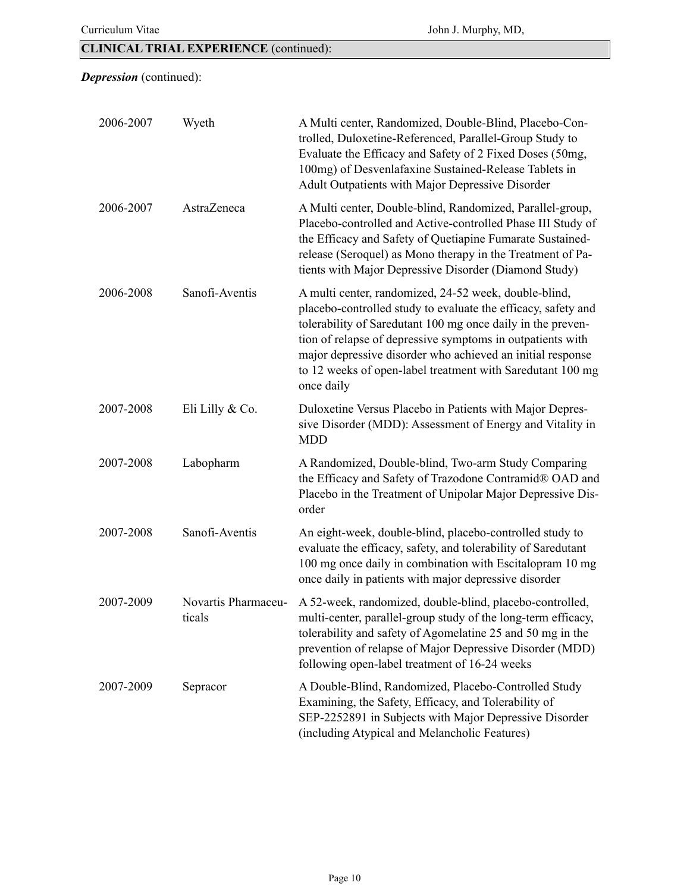| 2006-2007 | Wyeth                         | A Multi center, Randomized, Double-Blind, Placebo-Con-<br>trolled, Duloxetine-Referenced, Parallel-Group Study to<br>Evaluate the Efficacy and Safety of 2 Fixed Doses (50mg,<br>100mg) of Desvenlafaxine Sustained-Release Tablets in<br>Adult Outpatients with Major Depressive Disorder                                                                                                    |
|-----------|-------------------------------|-----------------------------------------------------------------------------------------------------------------------------------------------------------------------------------------------------------------------------------------------------------------------------------------------------------------------------------------------------------------------------------------------|
| 2006-2007 | AstraZeneca                   | A Multi center, Double-blind, Randomized, Parallel-group,<br>Placebo-controlled and Active-controlled Phase III Study of<br>the Efficacy and Safety of Quetiapine Fumarate Sustained-<br>release (Seroquel) as Mono therapy in the Treatment of Pa-<br>tients with Major Depressive Disorder (Diamond Study)                                                                                  |
| 2006-2008 | Sanofi-Aventis                | A multi center, randomized, 24-52 week, double-blind,<br>placebo-controlled study to evaluate the efficacy, safety and<br>tolerability of Saredutant 100 mg once daily in the preven-<br>tion of relapse of depressive symptoms in outpatients with<br>major depressive disorder who achieved an initial response<br>to 12 weeks of open-label treatment with Saredutant 100 mg<br>once daily |
| 2007-2008 | Eli Lilly & Co.               | Duloxetine Versus Placebo in Patients with Major Depres-<br>sive Disorder (MDD): Assessment of Energy and Vitality in<br><b>MDD</b>                                                                                                                                                                                                                                                           |
| 2007-2008 | Labopharm                     | A Randomized, Double-blind, Two-arm Study Comparing<br>the Efficacy and Safety of Trazodone Contramid® OAD and<br>Placebo in the Treatment of Unipolar Major Depressive Dis-<br>order                                                                                                                                                                                                         |
| 2007-2008 | Sanofi-Aventis                | An eight-week, double-blind, placebo-controlled study to<br>evaluate the efficacy, safety, and tolerability of Saredutant<br>100 mg once daily in combination with Escitalopram 10 mg<br>once daily in patients with major depressive disorder                                                                                                                                                |
| 2007-2009 | Novartis Pharmaceu-<br>ticals | A 52-week, randomized, double-blind, placebo-controlled,<br>multi-center, parallel-group study of the long-term efficacy,<br>tolerability and safety of Agomelatine 25 and 50 mg in the<br>prevention of relapse of Major Depressive Disorder (MDD)<br>following open-label treatment of 16-24 weeks                                                                                          |
| 2007-2009 | Sepracor                      | A Double-Blind, Randomized, Placebo-Controlled Study<br>Examining, the Safety, Efficacy, and Tolerability of<br>SEP-2252891 in Subjects with Major Depressive Disorder<br>(including Atypical and Melancholic Features)                                                                                                                                                                       |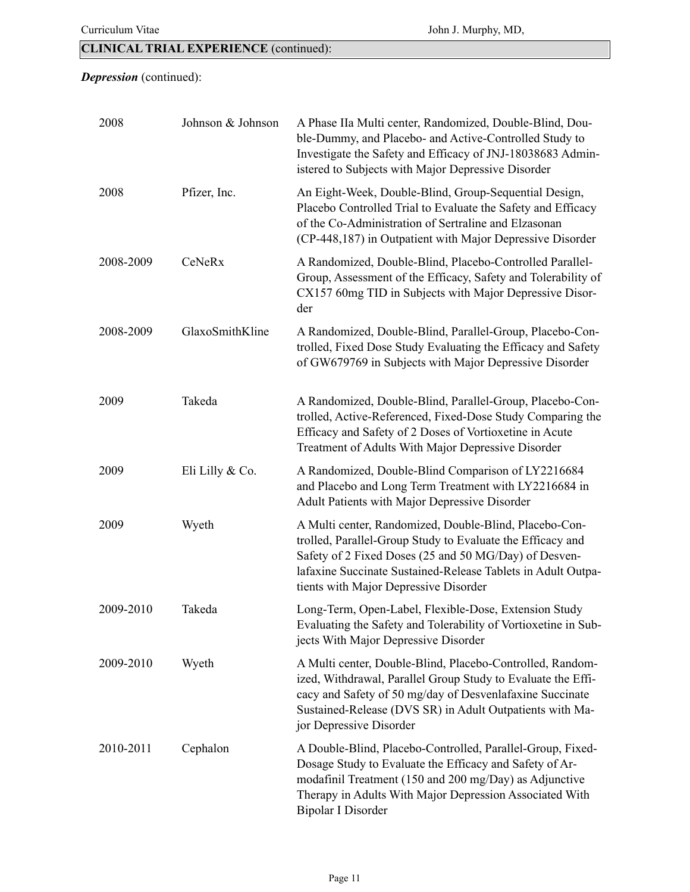| 2008      | Johnson & Johnson | A Phase IIa Multi center, Randomized, Double-Blind, Dou-<br>ble-Dummy, and Placebo- and Active-Controlled Study to<br>Investigate the Safety and Efficacy of JNJ-18038683 Admin-<br>istered to Subjects with Major Depressive Disorder                                                 |
|-----------|-------------------|----------------------------------------------------------------------------------------------------------------------------------------------------------------------------------------------------------------------------------------------------------------------------------------|
| 2008      | Pfizer, Inc.      | An Eight-Week, Double-Blind, Group-Sequential Design,<br>Placebo Controlled Trial to Evaluate the Safety and Efficacy<br>of the Co-Administration of Sertraline and Elzasonan<br>(CP-448,187) in Outpatient with Major Depressive Disorder                                             |
| 2008-2009 | CeNeRx            | A Randomized, Double-Blind, Placebo-Controlled Parallel-<br>Group, Assessment of the Efficacy, Safety and Tolerability of<br>CX157 60mg TID in Subjects with Major Depressive Disor-<br>der                                                                                            |
| 2008-2009 | GlaxoSmithKline   | A Randomized, Double-Blind, Parallel-Group, Placebo-Con-<br>trolled, Fixed Dose Study Evaluating the Efficacy and Safety<br>of GW679769 in Subjects with Major Depressive Disorder                                                                                                     |
| 2009      | Takeda            | A Randomized, Double-Blind, Parallel-Group, Placebo-Con-<br>trolled, Active-Referenced, Fixed-Dose Study Comparing the<br>Efficacy and Safety of 2 Doses of Vortioxetine in Acute<br>Treatment of Adults With Major Depressive Disorder                                                |
| 2009      | Eli Lilly & Co.   | A Randomized, Double-Blind Comparison of LY2216684<br>and Placebo and Long Term Treatment with LY2216684 in<br>Adult Patients with Major Depressive Disorder                                                                                                                           |
| 2009      | Wyeth             | A Multi center, Randomized, Double-Blind, Placebo-Con-<br>trolled, Parallel-Group Study to Evaluate the Efficacy and<br>Safety of 2 Fixed Doses (25 and 50 MG/Day) of Desven-<br>lafaxine Succinate Sustained-Release Tablets in Adult Outpa-<br>tients with Major Depressive Disorder |
| 2009-2010 | Takeda            | Long-Term, Open-Label, Flexible-Dose, Extension Study<br>Evaluating the Safety and Tolerability of Vortioxetine in Sub-<br>jects With Major Depressive Disorder                                                                                                                        |
| 2009-2010 | Wyeth             | A Multi center, Double-Blind, Placebo-Controlled, Random-<br>ized, Withdrawal, Parallel Group Study to Evaluate the Effi-<br>cacy and Safety of 50 mg/day of Desvenlafaxine Succinate<br>Sustained-Release (DVS SR) in Adult Outpatients with Ma-<br>jor Depressive Disorder           |
| 2010-2011 | Cephalon          | A Double-Blind, Placebo-Controlled, Parallel-Group, Fixed-<br>Dosage Study to Evaluate the Efficacy and Safety of Ar-<br>modafinil Treatment (150 and 200 mg/Day) as Adjunctive<br>Therapy in Adults With Major Depression Associated With<br><b>Bipolar I Disorder</b>                |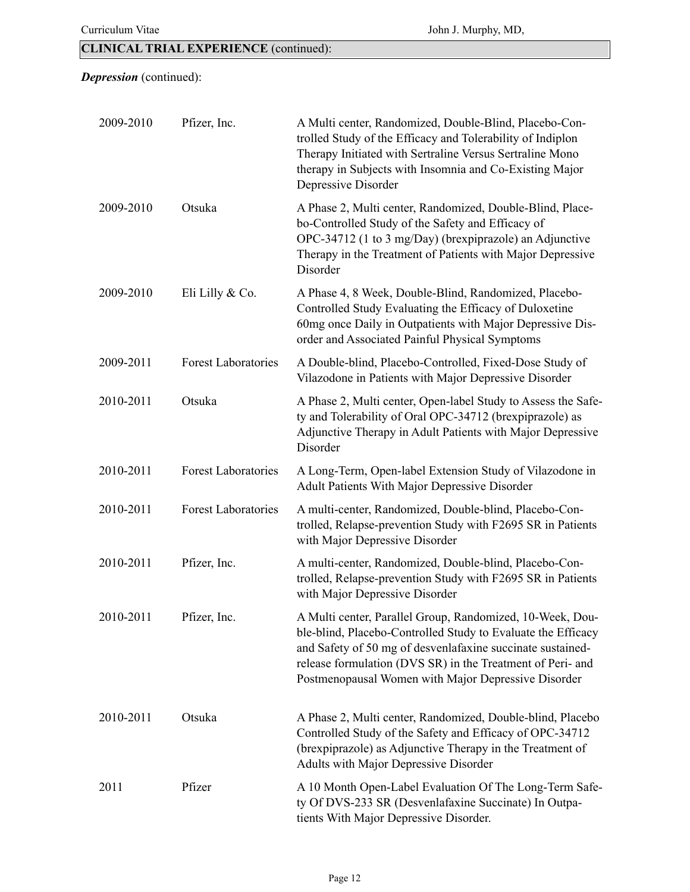| 2009-2010 | Pfizer, Inc.               | A Multi center, Randomized, Double-Blind, Placebo-Con-<br>trolled Study of the Efficacy and Tolerability of Indiplon<br>Therapy Initiated with Sertraline Versus Sertraline Mono<br>therapy in Subjects with Insomnia and Co-Existing Major<br>Depressive Disorder                                           |
|-----------|----------------------------|--------------------------------------------------------------------------------------------------------------------------------------------------------------------------------------------------------------------------------------------------------------------------------------------------------------|
| 2009-2010 | Otsuka                     | A Phase 2, Multi center, Randomized, Double-Blind, Place-<br>bo-Controlled Study of the Safety and Efficacy of<br>OPC-34712 (1 to 3 mg/Day) (brexpiprazole) an Adjunctive<br>Therapy in the Treatment of Patients with Major Depressive<br>Disorder                                                          |
| 2009-2010 | Eli Lilly & Co.            | A Phase 4, 8 Week, Double-Blind, Randomized, Placebo-<br>Controlled Study Evaluating the Efficacy of Duloxetine<br>60mg once Daily in Outpatients with Major Depressive Dis-<br>order and Associated Painful Physical Symptoms                                                                               |
| 2009-2011 | <b>Forest Laboratories</b> | A Double-blind, Placebo-Controlled, Fixed-Dose Study of<br>Vilazodone in Patients with Major Depressive Disorder                                                                                                                                                                                             |
| 2010-2011 | Otsuka                     | A Phase 2, Multi center, Open-label Study to Assess the Safe-<br>ty and Tolerability of Oral OPC-34712 (brexpiprazole) as<br>Adjunctive Therapy in Adult Patients with Major Depressive<br>Disorder                                                                                                          |
| 2010-2011 | <b>Forest Laboratories</b> | A Long-Term, Open-label Extension Study of Vilazodone in<br><b>Adult Patients With Major Depressive Disorder</b>                                                                                                                                                                                             |
| 2010-2011 | <b>Forest Laboratories</b> | A multi-center, Randomized, Double-blind, Placebo-Con-<br>trolled, Relapse-prevention Study with F2695 SR in Patients<br>with Major Depressive Disorder                                                                                                                                                      |
| 2010-2011 | Pfizer, Inc.               | A multi-center, Randomized, Double-blind, Placebo-Con-<br>trolled, Relapse-prevention Study with F2695 SR in Patients<br>with Major Depressive Disorder                                                                                                                                                      |
| 2010-2011 | Pfizer, Inc.               | A Multi center, Parallel Group, Randomized, 10-Week, Dou-<br>ble-blind, Placebo-Controlled Study to Evaluate the Efficacy<br>and Safety of 50 mg of desvenlafaxine succinate sustained-<br>release formulation (DVS SR) in the Treatment of Peri- and<br>Postmenopausal Women with Major Depressive Disorder |
| 2010-2011 | Otsuka                     | A Phase 2, Multi center, Randomized, Double-blind, Placebo<br>Controlled Study of the Safety and Efficacy of OPC-34712<br>(brexpiprazole) as Adjunctive Therapy in the Treatment of<br>Adults with Major Depressive Disorder                                                                                 |
| 2011      | Pfizer                     | A 10 Month Open-Label Evaluation Of The Long-Term Safe-<br>ty Of DVS-233 SR (Desvenlafaxine Succinate) In Outpa-<br>tients With Major Depressive Disorder.                                                                                                                                                   |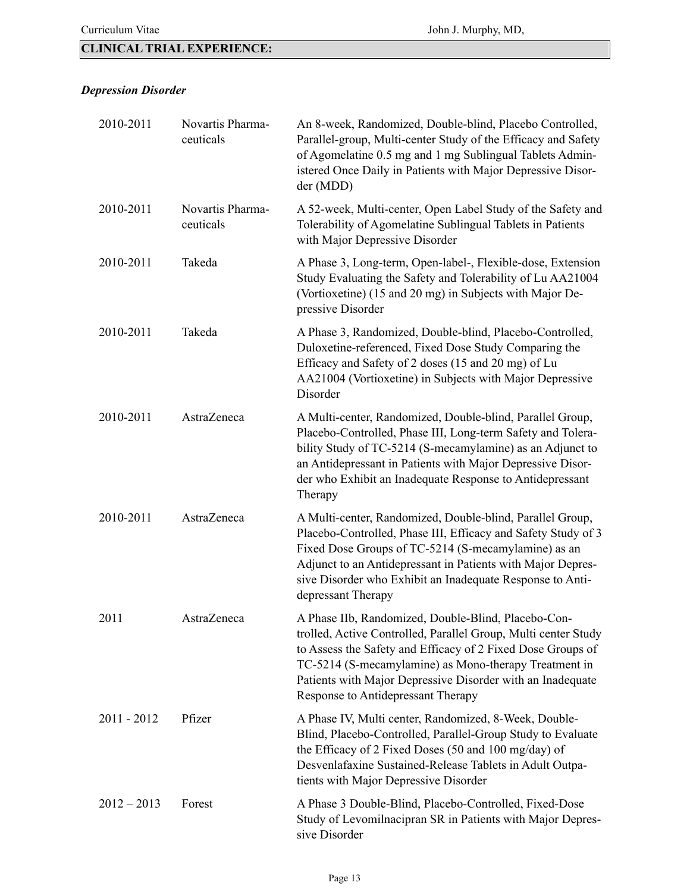## *Depression Disorder*

| 2010-2011     | Novartis Pharma-<br>ceuticals | An 8-week, Randomized, Double-blind, Placebo Controlled,<br>Parallel-group, Multi-center Study of the Efficacy and Safety<br>of Agomelatine 0.5 mg and 1 mg Sublingual Tablets Admin-<br>istered Once Daily in Patients with Major Depressive Disor-<br>der (MDD)                                                                                 |
|---------------|-------------------------------|---------------------------------------------------------------------------------------------------------------------------------------------------------------------------------------------------------------------------------------------------------------------------------------------------------------------------------------------------|
| 2010-2011     | Novartis Pharma-<br>ceuticals | A 52-week, Multi-center, Open Label Study of the Safety and<br>Tolerability of Agomelatine Sublingual Tablets in Patients<br>with Major Depressive Disorder                                                                                                                                                                                       |
| 2010-2011     | Takeda                        | A Phase 3, Long-term, Open-label-, Flexible-dose, Extension<br>Study Evaluating the Safety and Tolerability of Lu AA21004<br>(Vortioxetine) (15 and 20 mg) in Subjects with Major De-<br>pressive Disorder                                                                                                                                        |
| 2010-2011     | Takeda                        | A Phase 3, Randomized, Double-blind, Placebo-Controlled,<br>Duloxetine-referenced, Fixed Dose Study Comparing the<br>Efficacy and Safety of 2 doses (15 and 20 mg) of Lu<br>AA21004 (Vortioxetine) in Subjects with Major Depressive<br>Disorder                                                                                                  |
| 2010-2011     | AstraZeneca                   | A Multi-center, Randomized, Double-blind, Parallel Group,<br>Placebo-Controlled, Phase III, Long-term Safety and Tolera-<br>bility Study of TC-5214 (S-mecamylamine) as an Adjunct to<br>an Antidepressant in Patients with Major Depressive Disor-<br>der who Exhibit an Inadequate Response to Antidepressant<br>Therapy                        |
| 2010-2011     | AstraZeneca                   | A Multi-center, Randomized, Double-blind, Parallel Group,<br>Placebo-Controlled, Phase III, Efficacy and Safety Study of 3<br>Fixed Dose Groups of TC-5214 (S-mecamylamine) as an<br>Adjunct to an Antidepressant in Patients with Major Depres-<br>sive Disorder who Exhibit an Inadequate Response to Anti-<br>depressant Therapy               |
| 2011          | AstraZeneca                   | A Phase IIb, Randomized, Double-Blind, Placebo-Con-<br>trolled, Active Controlled, Parallel Group, Multi center Study<br>to Assess the Safety and Efficacy of 2 Fixed Dose Groups of<br>TC-5214 (S-mecamylamine) as Mono-therapy Treatment in<br>Patients with Major Depressive Disorder with an Inadequate<br>Response to Antidepressant Therapy |
| $2011 - 2012$ | Pfizer                        | A Phase IV, Multi center, Randomized, 8-Week, Double-<br>Blind, Placebo-Controlled, Parallel-Group Study to Evaluate<br>the Efficacy of 2 Fixed Doses (50 and 100 mg/day) of<br>Desvenlafaxine Sustained-Release Tablets in Adult Outpa-<br>tients with Major Depressive Disorder                                                                 |
| $2012 - 2013$ | Forest                        | A Phase 3 Double-Blind, Placebo-Controlled, Fixed-Dose<br>Study of Levomilnacipran SR in Patients with Major Depres-<br>sive Disorder                                                                                                                                                                                                             |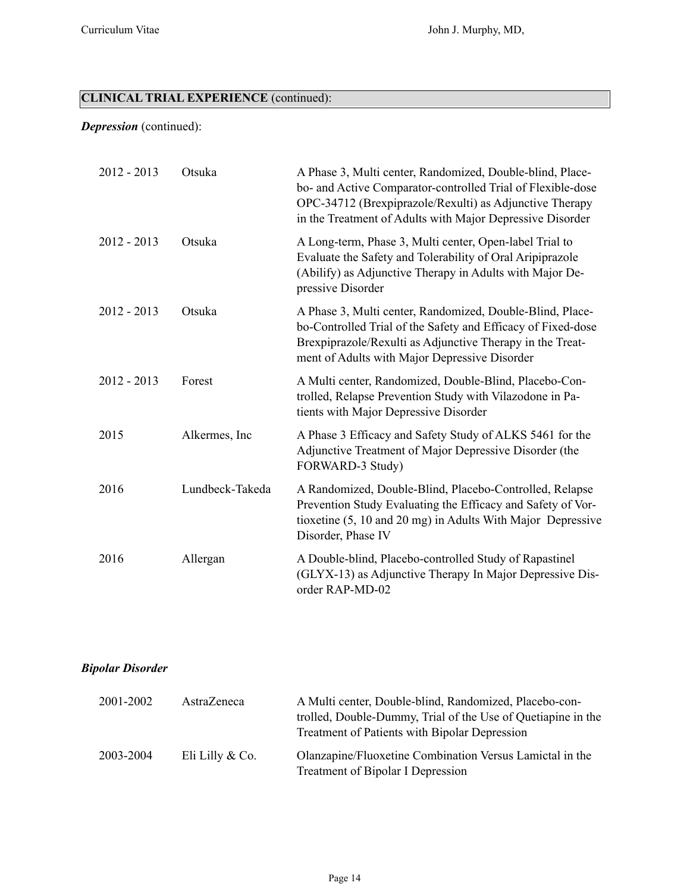#### *Depression* (continued):

| $2012 - 2013$ | Otsuka          | A Phase 3, Multi center, Randomized, Double-blind, Place-<br>bo- and Active Comparator-controlled Trial of Flexible-dose<br>OPC-34712 (Brexpiprazole/Rexulti) as Adjunctive Therapy<br>in the Treatment of Adults with Major Depressive Disorder |
|---------------|-----------------|--------------------------------------------------------------------------------------------------------------------------------------------------------------------------------------------------------------------------------------------------|
| $2012 - 2013$ | Otsuka          | A Long-term, Phase 3, Multi center, Open-label Trial to<br>Evaluate the Safety and Tolerability of Oral Aripiprazole<br>(Abilify) as Adjunctive Therapy in Adults with Major De-<br>pressive Disorder                                            |
| $2012 - 2013$ | Otsuka          | A Phase 3, Multi center, Randomized, Double-Blind, Place-<br>bo-Controlled Trial of the Safety and Efficacy of Fixed-dose<br>Brexpiprazole/Rexulti as Adjunctive Therapy in the Treat-<br>ment of Adults with Major Depressive Disorder          |
| $2012 - 2013$ | Forest          | A Multi center, Randomized, Double-Blind, Placebo-Con-<br>trolled, Relapse Prevention Study with Vilazodone in Pa-<br>tients with Major Depressive Disorder                                                                                      |
| 2015          | Alkermes, Inc   | A Phase 3 Efficacy and Safety Study of ALKS 5461 for the<br>Adjunctive Treatment of Major Depressive Disorder (the<br>FORWARD-3 Study)                                                                                                           |
| 2016          | Lundbeck-Takeda | A Randomized, Double-Blind, Placebo-Controlled, Relapse<br>Prevention Study Evaluating the Efficacy and Safety of Vor-<br>tioxetine (5, 10 and 20 mg) in Adults With Major Depressive<br>Disorder, Phase IV                                      |
| 2016          | Allergan        | A Double-blind, Placebo-controlled Study of Rapastinel<br>(GLYX-13) as Adjunctive Therapy In Major Depressive Dis-<br>order RAP-MD-02                                                                                                            |

#### *Bipolar Disorder*

| 2001-2002 | AstraZeneca     | A Multi center, Double-blind, Randomized, Placebo-con-<br>trolled, Double-Dummy, Trial of the Use of Quetiapine in the<br>Treatment of Patients with Bipolar Depression |
|-----------|-----------------|-------------------------------------------------------------------------------------------------------------------------------------------------------------------------|
| 2003-2004 | Eli Lilly & Co. | Olanzapine/Fluoxetine Combination Versus Lamictal in the<br>Treatment of Bipolar I Depression                                                                           |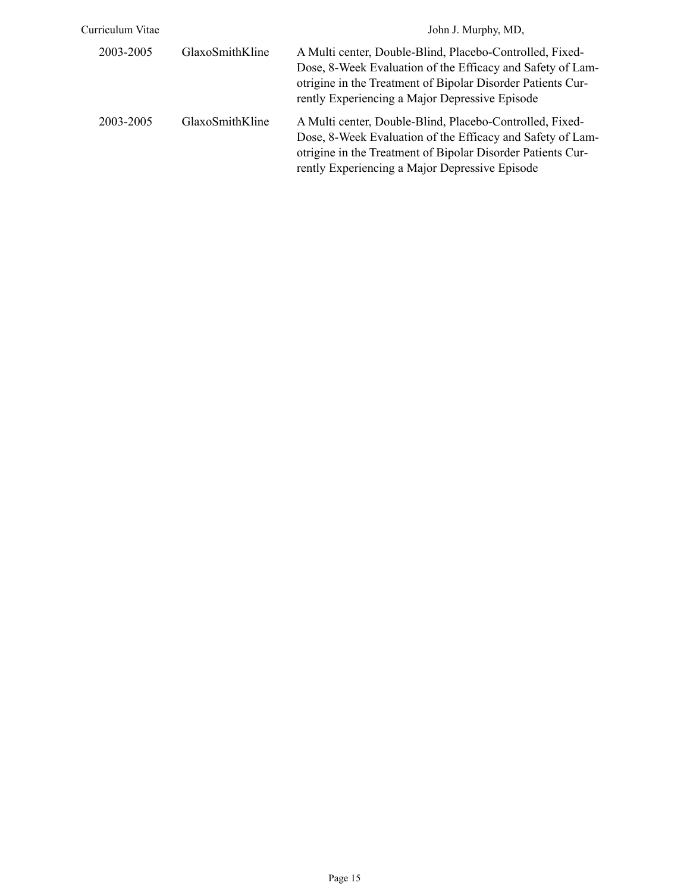| Curriculum Vitae |                 | John J. Murphy, MD,                                                                                                                                                                                                                     |
|------------------|-----------------|-----------------------------------------------------------------------------------------------------------------------------------------------------------------------------------------------------------------------------------------|
| 2003-2005        | GlaxoSmithKline | A Multi center, Double-Blind, Placebo-Controlled, Fixed-<br>Dose, 8-Week Evaluation of the Efficacy and Safety of Lam-<br>otrigine in the Treatment of Bipolar Disorder Patients Cur-<br>rently Experiencing a Major Depressive Episode |
| 2003-2005        | GlaxoSmithKline | A Multi center, Double-Blind, Placebo-Controlled, Fixed-<br>Dose, 8-Week Evaluation of the Efficacy and Safety of Lam-<br>otrigine in the Treatment of Bipolar Disorder Patients Cur-<br>rently Experiencing a Major Depressive Episode |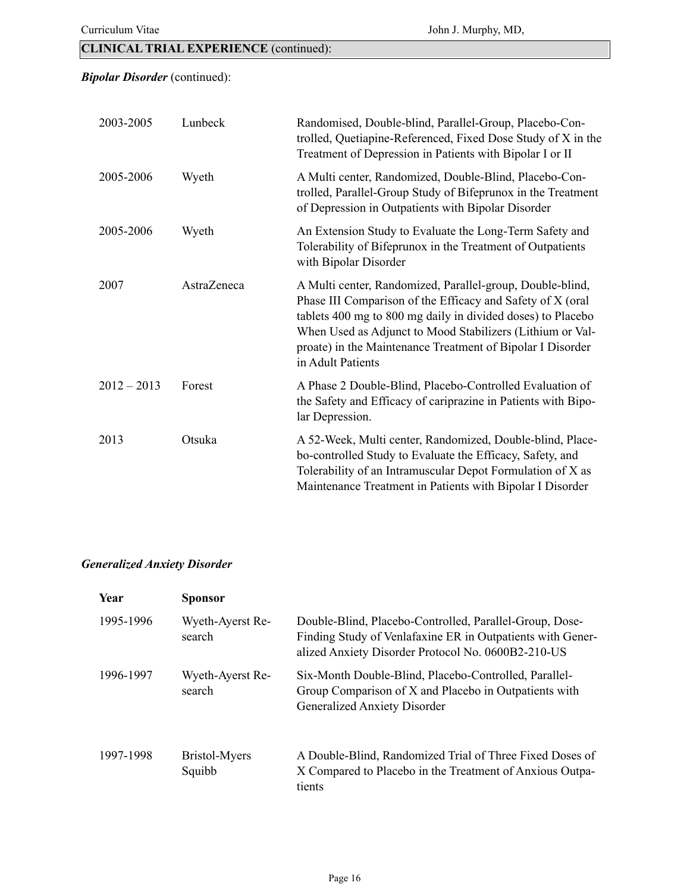Curriculum Vitae John J. Murphy, MD,

#### *Bipolar Disorder* (continued):

| 2003-2005     | Lunbeck     | Randomised, Double-blind, Parallel-Group, Placebo-Con-<br>trolled, Quetiapine-Referenced, Fixed Dose Study of X in the<br>Treatment of Depression in Patients with Bipolar I or II                                                                                                                                                     |
|---------------|-------------|----------------------------------------------------------------------------------------------------------------------------------------------------------------------------------------------------------------------------------------------------------------------------------------------------------------------------------------|
| 2005-2006     | Wyeth       | A Multi center, Randomized, Double-Blind, Placebo-Con-<br>trolled, Parallel-Group Study of Bifeprunox in the Treatment<br>of Depression in Outpatients with Bipolar Disorder                                                                                                                                                           |
| 2005-2006     | Wyeth       | An Extension Study to Evaluate the Long-Term Safety and<br>Tolerability of Bifeprunox in the Treatment of Outpatients<br>with Bipolar Disorder                                                                                                                                                                                         |
| 2007          | AstraZeneca | A Multi center, Randomized, Parallel-group, Double-blind,<br>Phase III Comparison of the Efficacy and Safety of X (oral<br>tablets 400 mg to 800 mg daily in divided doses) to Placebo<br>When Used as Adjunct to Mood Stabilizers (Lithium or Val-<br>proate) in the Maintenance Treatment of Bipolar I Disorder<br>in Adult Patients |
| $2012 - 2013$ | Forest      | A Phase 2 Double-Blind, Placebo-Controlled Evaluation of<br>the Safety and Efficacy of cariprazine in Patients with Bipo-<br>lar Depression.                                                                                                                                                                                           |
| 2013          | Otsuka      | A 52-Week, Multi center, Randomized, Double-blind, Place-<br>bo-controlled Study to Evaluate the Efficacy, Safety, and<br>Tolerability of an Intramuscular Depot Formulation of X as<br>Maintenance Treatment in Patients with Bipolar I Disorder                                                                                      |

#### *Generalized Anxiety Disorder*

| <b>Year</b> | <b>Sponsor</b>                 |                                                                                                                                                                             |
|-------------|--------------------------------|-----------------------------------------------------------------------------------------------------------------------------------------------------------------------------|
| 1995-1996   | Wyeth-Ayerst Re-<br>search     | Double-Blind, Placebo-Controlled, Parallel-Group, Dose-<br>Finding Study of Venlafaxine ER in Outpatients with Gener-<br>alized Anxiety Disorder Protocol No. 0600B2-210-US |
| 1996-1997   | Wyeth-Ayerst Re-<br>search     | Six-Month Double-Blind, Placebo-Controlled, Parallel-<br>Group Comparison of X and Placebo in Outpatients with<br><b>Generalized Anxiety Disorder</b>                       |
| 1997-1998   | <b>Bristol-Myers</b><br>Squibb | A Double-Blind, Randomized Trial of Three Fixed Doses of<br>X Compared to Placebo in the Treatment of Anxious Outpa-<br>tients                                              |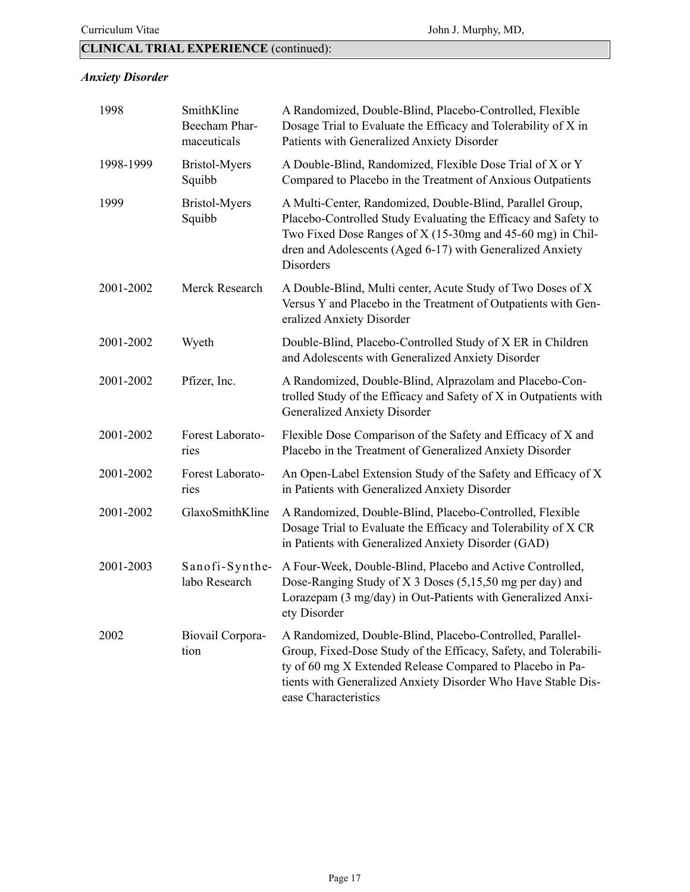#### *Anxiety Disorder*

| 1998      | SmithKline<br>Beecham Phar-<br>maceuticals | A Randomized, Double-Blind, Placebo-Controlled, Flexible<br>Dosage Trial to Evaluate the Efficacy and Tolerability of X in<br>Patients with Generalized Anxiety Disorder                                                                                                            |
|-----------|--------------------------------------------|-------------------------------------------------------------------------------------------------------------------------------------------------------------------------------------------------------------------------------------------------------------------------------------|
| 1998-1999 | <b>Bristol-Myers</b><br>Squibb             | A Double-Blind, Randomized, Flexible Dose Trial of X or Y<br>Compared to Placebo in the Treatment of Anxious Outpatients                                                                                                                                                            |
| 1999      | <b>Bristol-Myers</b><br>Squibb             | A Multi-Center, Randomized, Double-Blind, Parallel Group,<br>Placebo-Controlled Study Evaluating the Efficacy and Safety to<br>Two Fixed Dose Ranges of X (15-30mg and 45-60 mg) in Chil-<br>dren and Adolescents (Aged 6-17) with Generalized Anxiety<br>Disorders                 |
| 2001-2002 | Merck Research                             | A Double-Blind, Multi center, Acute Study of Two Doses of X<br>Versus Y and Placebo in the Treatment of Outpatients with Gen-<br>eralized Anxiety Disorder                                                                                                                          |
| 2001-2002 | Wyeth                                      | Double-Blind, Placebo-Controlled Study of X ER in Children<br>and Adolescents with Generalized Anxiety Disorder                                                                                                                                                                     |
| 2001-2002 | Pfizer, Inc.                               | A Randomized, Double-Blind, Alprazolam and Placebo-Con-<br>trolled Study of the Efficacy and Safety of X in Outpatients with<br><b>Generalized Anxiety Disorder</b>                                                                                                                 |
| 2001-2002 | Forest Laborato-<br>ries                   | Flexible Dose Comparison of the Safety and Efficacy of X and<br>Placebo in the Treatment of Generalized Anxiety Disorder                                                                                                                                                            |
| 2001-2002 | Forest Laborato-<br>ries                   | An Open-Label Extension Study of the Safety and Efficacy of X<br>in Patients with Generalized Anxiety Disorder                                                                                                                                                                      |
| 2001-2002 | GlaxoSmithKline                            | A Randomized, Double-Blind, Placebo-Controlled, Flexible<br>Dosage Trial to Evaluate the Efficacy and Tolerability of X CR<br>in Patients with Generalized Anxiety Disorder (GAD)                                                                                                   |
| 2001-2003 | Sanofi-Synthe-<br>labo Research            | A Four-Week, Double-Blind, Placebo and Active Controlled,<br>Dose-Ranging Study of X 3 Doses (5,15,50 mg per day) and<br>Lorazepam (3 mg/day) in Out-Patients with Generalized Anxi-<br>ety Disorder                                                                                |
| 2002      | Biovail Corpora-<br>tion                   | A Randomized, Double-Blind, Placebo-Controlled, Parallel-<br>Group, Fixed-Dose Study of the Efficacy, Safety, and Tolerabili-<br>ty of 60 mg X Extended Release Compared to Placebo in Pa-<br>tients with Generalized Anxiety Disorder Who Have Stable Dis-<br>ease Characteristics |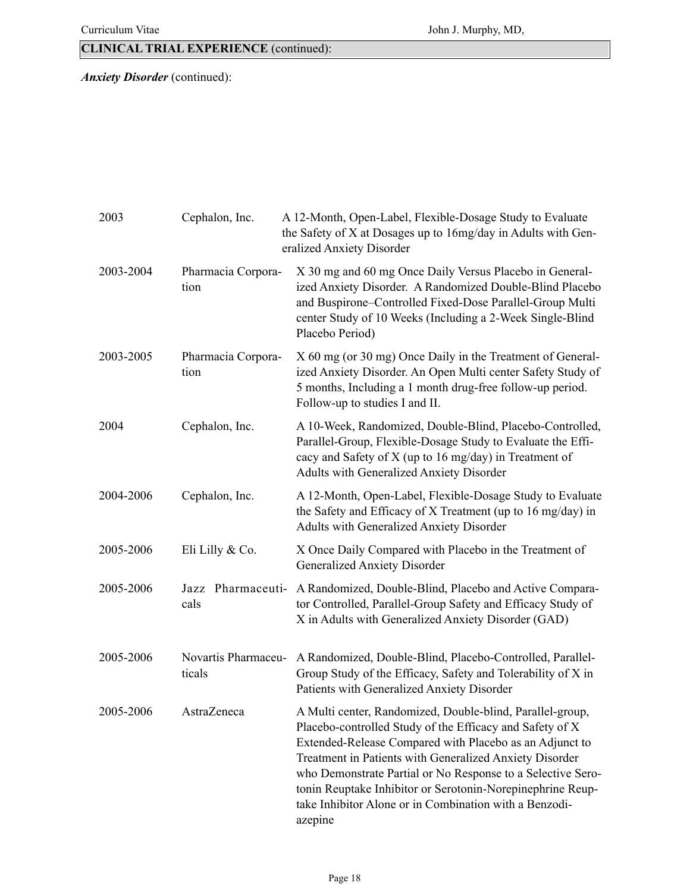#### *Anxiety Disorder* (continued):

| 2003      | Cephalon, Inc.                | A 12-Month, Open-Label, Flexible-Dosage Study to Evaluate<br>the Safety of X at Dosages up to 16mg/day in Adults with Gen-<br>eralized Anxiety Disorder                                                                                                                                                                                                                                                                                       |
|-----------|-------------------------------|-----------------------------------------------------------------------------------------------------------------------------------------------------------------------------------------------------------------------------------------------------------------------------------------------------------------------------------------------------------------------------------------------------------------------------------------------|
| 2003-2004 | Pharmacia Corpora-<br>tion    | X 30 mg and 60 mg Once Daily Versus Placebo in General-<br>ized Anxiety Disorder. A Randomized Double-Blind Placebo<br>and Buspirone-Controlled Fixed-Dose Parallel-Group Multi<br>center Study of 10 Weeks (Including a 2-Week Single-Blind<br>Placebo Period)                                                                                                                                                                               |
| 2003-2005 | Pharmacia Corpora-<br>tion    | X 60 mg (or 30 mg) Once Daily in the Treatment of General-<br>ized Anxiety Disorder. An Open Multi center Safety Study of<br>5 months, Including a 1 month drug-free follow-up period.<br>Follow-up to studies I and II.                                                                                                                                                                                                                      |
| 2004      | Cephalon, Inc.                | A 10-Week, Randomized, Double-Blind, Placebo-Controlled,<br>Parallel-Group, Flexible-Dosage Study to Evaluate the Effi-<br>cacy and Safety of X (up to 16 mg/day) in Treatment of<br><b>Adults with Generalized Anxiety Disorder</b>                                                                                                                                                                                                          |
| 2004-2006 | Cephalon, Inc.                | A 12-Month, Open-Label, Flexible-Dosage Study to Evaluate<br>the Safety and Efficacy of X Treatment (up to 16 mg/day) in<br>Adults with Generalized Anxiety Disorder                                                                                                                                                                                                                                                                          |
| 2005-2006 | Eli Lilly & Co.               | X Once Daily Compared with Placebo in the Treatment of<br><b>Generalized Anxiety Disorder</b>                                                                                                                                                                                                                                                                                                                                                 |
| 2005-2006 | Pharmaceuti-<br>Jazz<br>cals  | A Randomized, Double-Blind, Placebo and Active Compara-<br>tor Controlled, Parallel-Group Safety and Efficacy Study of<br>X in Adults with Generalized Anxiety Disorder (GAD)                                                                                                                                                                                                                                                                 |
| 2005-2006 | Novartis Pharmaceu-<br>ticals | A Randomized, Double-Blind, Placebo-Controlled, Parallel-<br>Group Study of the Efficacy, Safety and Tolerability of X in<br>Patients with Generalized Anxiety Disorder                                                                                                                                                                                                                                                                       |
| 2005-2006 | AstraZeneca                   | A Multi center, Randomized, Double-blind, Parallel-group,<br>Placebo-controlled Study of the Efficacy and Safety of X<br>Extended-Release Compared with Placebo as an Adjunct to<br>Treatment in Patients with Generalized Anxiety Disorder<br>who Demonstrate Partial or No Response to a Selective Sero-<br>tonin Reuptake Inhibitor or Serotonin-Norepinephrine Reup-<br>take Inhibitor Alone or in Combination with a Benzodi-<br>azepine |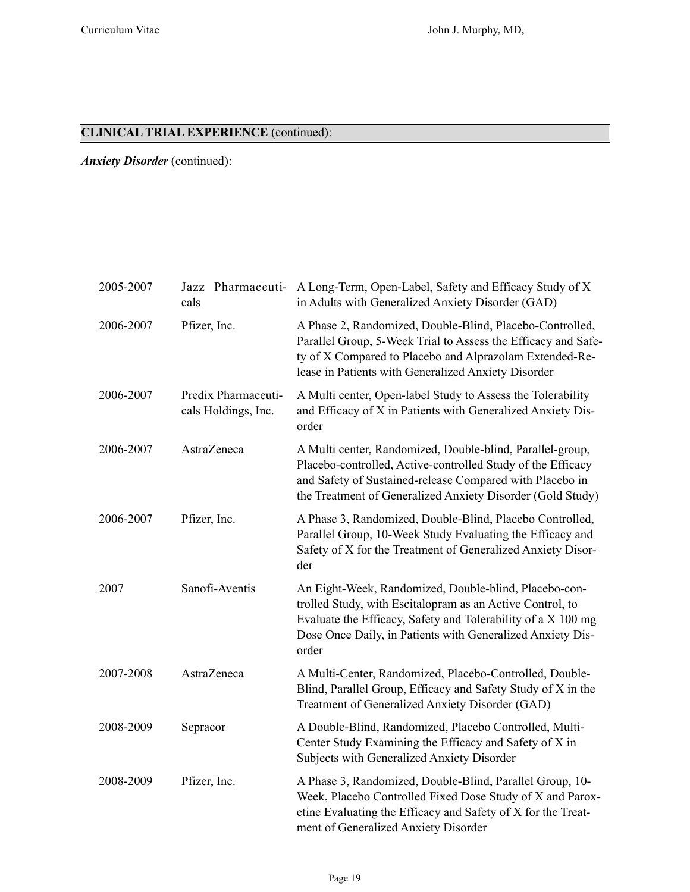*Anxiety Disorder* (continued):

| 2005-2007 | cals                                       | Jazz Pharmaceuti- A Long-Term, Open-Label, Safety and Efficacy Study of X<br>in Adults with Generalized Anxiety Disorder (GAD)                                                                                                                            |
|-----------|--------------------------------------------|-----------------------------------------------------------------------------------------------------------------------------------------------------------------------------------------------------------------------------------------------------------|
| 2006-2007 | Pfizer, Inc.                               | A Phase 2, Randomized, Double-Blind, Placebo-Controlled,<br>Parallel Group, 5-Week Trial to Assess the Efficacy and Safe-<br>ty of X Compared to Placebo and Alprazolam Extended-Re-<br>lease in Patients with Generalized Anxiety Disorder               |
| 2006-2007 | Predix Pharmaceuti-<br>cals Holdings, Inc. | A Multi center, Open-label Study to Assess the Tolerability<br>and Efficacy of X in Patients with Generalized Anxiety Dis-<br>order                                                                                                                       |
| 2006-2007 | AstraZeneca                                | A Multi center, Randomized, Double-blind, Parallel-group,<br>Placebo-controlled, Active-controlled Study of the Efficacy<br>and Safety of Sustained-release Compared with Placebo in<br>the Treatment of Generalized Anxiety Disorder (Gold Study)        |
| 2006-2007 | Pfizer, Inc.                               | A Phase 3, Randomized, Double-Blind, Placebo Controlled,<br>Parallel Group, 10-Week Study Evaluating the Efficacy and<br>Safety of X for the Treatment of Generalized Anxiety Disor-<br>der                                                               |
| 2007      | Sanofi-Aventis                             | An Eight-Week, Randomized, Double-blind, Placebo-con-<br>trolled Study, with Escitalopram as an Active Control, to<br>Evaluate the Efficacy, Safety and Tolerability of a X 100 mg<br>Dose Once Daily, in Patients with Generalized Anxiety Dis-<br>order |
| 2007-2008 | AstraZeneca                                | A Multi-Center, Randomized, Placebo-Controlled, Double-<br>Blind, Parallel Group, Efficacy and Safety Study of X in the<br>Treatment of Generalized Anxiety Disorder (GAD)                                                                                |
| 2008-2009 | Sepracor                                   | A Double-Blind, Randomized, Placebo Controlled, Multi-<br>Center Study Examining the Efficacy and Safety of X in<br>Subjects with Generalized Anxiety Disorder                                                                                            |
| 2008-2009 | Pfizer, Inc.                               | A Phase 3, Randomized, Double-Blind, Parallel Group, 10-<br>Week, Placebo Controlled Fixed Dose Study of X and Parox-<br>etine Evaluating the Efficacy and Safety of X for the Treat-<br>ment of Generalized Anxiety Disorder                             |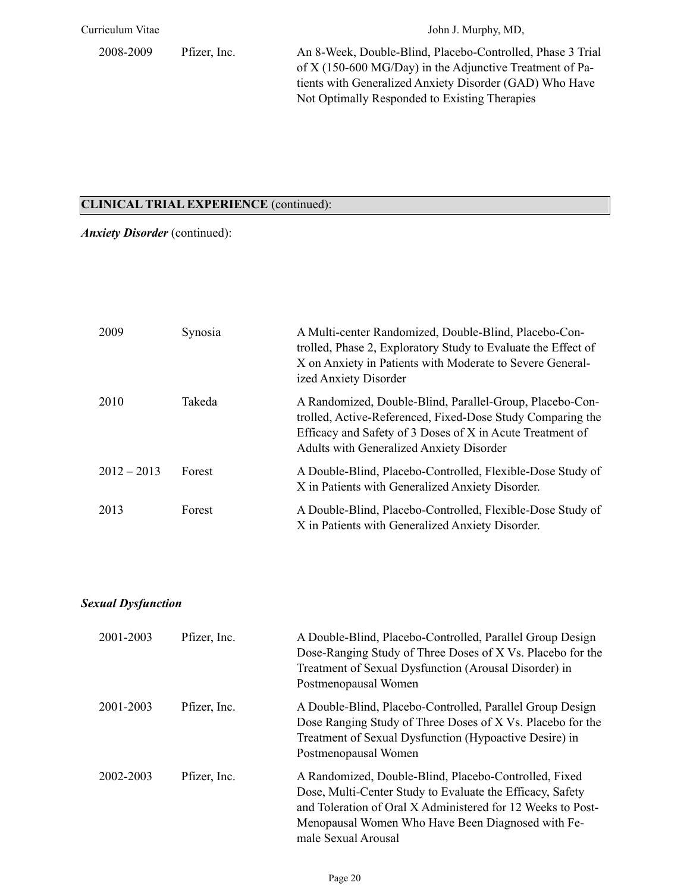2008-2009 Pfizer, Inc. An 8-Week, Double-Blind, Placebo-Controlled, Phase 3 Trial of X (150-600 MG/Day) in the Adjunctive Treatment of Patients with Generalized Anxiety Disorder (GAD) Who Have Not Optimally Responded to Existing Therapies

#### **CLINICAL TRIAL EXPERIENCE** (continued):

*Anxiety Disorder* (continued):

| 2009          | Synosia | A Multi-center Randomized, Double-Blind, Placebo-Con-<br>trolled, Phase 2, Exploratory Study to Evaluate the Effect of<br>X on Anxiety in Patients with Moderate to Severe General-<br>ized Anxiety Disorder                           |
|---------------|---------|----------------------------------------------------------------------------------------------------------------------------------------------------------------------------------------------------------------------------------------|
| 2010          | Takeda  | A Randomized, Double-Blind, Parallel-Group, Placebo-Con-<br>trolled, Active-Referenced, Fixed-Dose Study Comparing the<br>Efficacy and Safety of 3 Doses of X in Acute Treatment of<br><b>Adults with Generalized Anxiety Disorder</b> |
| $2012 - 2013$ | Forest  | A Double-Blind, Placebo-Controlled, Flexible-Dose Study of<br>X in Patients with Generalized Anxiety Disorder.                                                                                                                         |
| 2013          | Forest  | A Double-Blind, Placebo-Controlled, Flexible-Dose Study of<br>X in Patients with Generalized Anxiety Disorder.                                                                                                                         |

#### *Sexual Dysfunction*

| 2001-2003 | Pfizer, Inc. | A Double-Blind, Placebo-Controlled, Parallel Group Design<br>Dose-Ranging Study of Three Doses of X Vs. Placebo for the<br>Treatment of Sexual Dysfunction (Arousal Disorder) in<br>Postmenopausal Women                                                      |
|-----------|--------------|---------------------------------------------------------------------------------------------------------------------------------------------------------------------------------------------------------------------------------------------------------------|
| 2001-2003 | Pfizer, Inc. | A Double-Blind, Placebo-Controlled, Parallel Group Design<br>Dose Ranging Study of Three Doses of X Vs. Placebo for the<br>Treatment of Sexual Dysfunction (Hypoactive Desire) in<br>Postmenopausal Women                                                     |
| 2002-2003 | Pfizer, Inc. | A Randomized, Double-Blind, Placebo-Controlled, Fixed<br>Dose, Multi-Center Study to Evaluate the Efficacy, Safety<br>and Toleration of Oral X Administered for 12 Weeks to Post-<br>Menopausal Women Who Have Been Diagnosed with Fe-<br>male Sexual Arousal |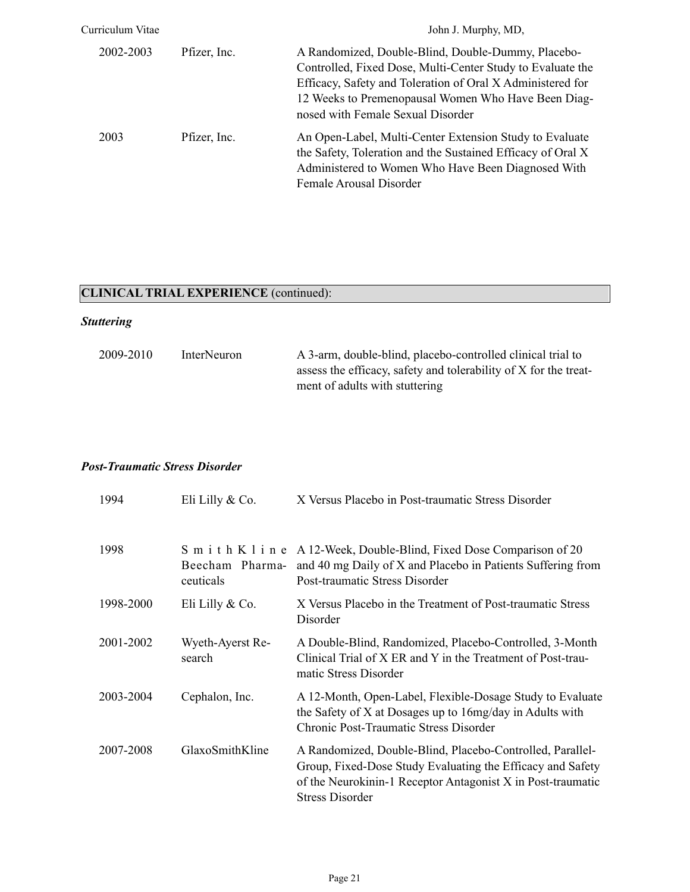| Curriculum Vitae |              | John J. Murphy, MD,                                                                                                                                                                                                                                                        |
|------------------|--------------|----------------------------------------------------------------------------------------------------------------------------------------------------------------------------------------------------------------------------------------------------------------------------|
| 2002-2003        | Pfizer, Inc. | A Randomized, Double-Blind, Double-Dummy, Placebo-<br>Controlled, Fixed Dose, Multi-Center Study to Evaluate the<br>Efficacy, Safety and Toleration of Oral X Administered for<br>12 Weeks to Premenopausal Women Who Have Been Diag-<br>nosed with Female Sexual Disorder |
| 2003             | Pfizer, Inc. | An Open-Label, Multi-Center Extension Study to Evaluate<br>the Safety, Toleration and the Sustained Efficacy of Oral X<br>Administered to Women Who Have Been Diagnosed With<br>Female Arousal Disorder                                                                    |

### *Stuttering*

| 2009-2010 | InterNeuron | A 3-arm, double-blind, placebo-controlled clinical trial to      |
|-----------|-------------|------------------------------------------------------------------|
|           |             | assess the efficacy, safety and tolerability of X for the treat- |
|           |             | ment of adults with stuttering                                   |

#### *Post-Traumatic Stress Disorder*

| 1994      | Eli Lilly & Co.              | X Versus Placebo in Post-traumatic Stress Disorder                                                                                                                                                               |
|-----------|------------------------------|------------------------------------------------------------------------------------------------------------------------------------------------------------------------------------------------------------------|
| 1998      | Beecham Pharma-<br>ceuticals | S m i t h K l i n e A 12-Week, Double-Blind, Fixed Dose Comparison of 20<br>and 40 mg Daily of X and Placebo in Patients Suffering from<br>Post-traumatic Stress Disorder                                        |
| 1998-2000 | Eli Lilly & Co.              | X Versus Placebo in the Treatment of Post-traumatic Stress<br>Disorder                                                                                                                                           |
| 2001-2002 | Wyeth-Ayerst Re-<br>search   | A Double-Blind, Randomized, Placebo-Controlled, 3-Month<br>Clinical Trial of X ER and Y in the Treatment of Post-trau-<br>matic Stress Disorder                                                                  |
| 2003-2004 | Cephalon, Inc.               | A 12-Month, Open-Label, Flexible-Dosage Study to Evaluate<br>the Safety of X at Dosages up to 16mg/day in Adults with<br>Chronic Post-Traumatic Stress Disorder                                                  |
| 2007-2008 | GlaxoSmithKline              | A Randomized, Double-Blind, Placebo-Controlled, Parallel-<br>Group, Fixed-Dose Study Evaluating the Efficacy and Safety<br>of the Neurokinin-1 Receptor Antagonist X in Post-traumatic<br><b>Stress Disorder</b> |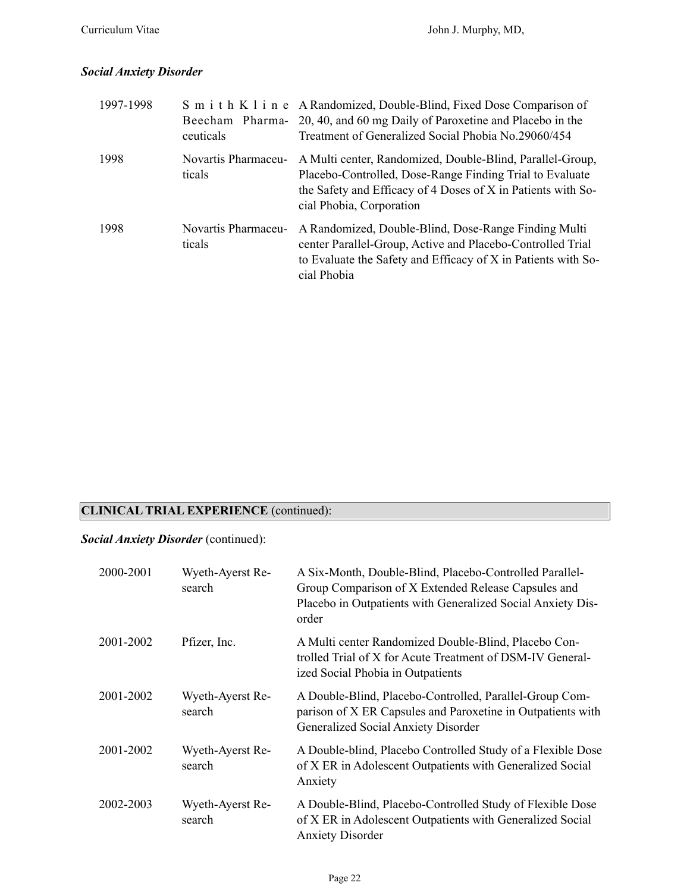#### *Social Anxiety Disorder*

| 1997-1998 | Beecham Pharma-<br>ceuticals  | S m i t h K l i n e A Randomized, Double-Blind, Fixed Dose Comparison of<br>20, 40, and 60 mg Daily of Paroxetine and Placebo in the<br>Treatment of Generalized Social Phobia No.29060/454                       |
|-----------|-------------------------------|-------------------------------------------------------------------------------------------------------------------------------------------------------------------------------------------------------------------|
| 1998      | Novartis Pharmaceu-<br>ticals | A Multi center, Randomized, Double-Blind, Parallel-Group,<br>Placebo-Controlled, Dose-Range Finding Trial to Evaluate<br>the Safety and Efficacy of 4 Doses of X in Patients with So-<br>cial Phobia, Corporation |
| 1998      | Novartis Pharmaceu-<br>ticals | A Randomized, Double-Blind, Dose-Range Finding Multi<br>center Parallel-Group, Active and Placebo-Controlled Trial<br>to Evaluate the Safety and Efficacy of X in Patients with So-<br>cial Phobia                |

### **CLINICAL TRIAL EXPERIENCE** (continued):

#### *Social Anxiety Disorder* (continued):

| 2000-2001 | Wyeth-Ayerst Re-<br>search | A Six-Month, Double-Blind, Placebo-Controlled Parallel-<br>Group Comparison of X Extended Release Capsules and<br>Placebo in Outpatients with Generalized Social Anxiety Dis-<br>order |
|-----------|----------------------------|----------------------------------------------------------------------------------------------------------------------------------------------------------------------------------------|
| 2001-2002 | Pfizer, Inc.               | A Multi center Randomized Double-Blind, Placebo Con-<br>trolled Trial of X for Acute Treatment of DSM-IV General-<br>ized Social Phobia in Outpatients                                 |
| 2001-2002 | Wyeth-Ayerst Re-<br>search | A Double-Blind, Placebo-Controlled, Parallel-Group Com-<br>parison of X ER Capsules and Paroxetine in Outpatients with<br><b>Generalized Social Anxiety Disorder</b>                   |
| 2001-2002 | Wyeth-Ayerst Re-<br>search | A Double-blind, Placebo Controlled Study of a Flexible Dose<br>of X ER in Adolescent Outpatients with Generalized Social<br>Anxiety                                                    |
| 2002-2003 | Wyeth-Ayerst Re-<br>search | A Double-Blind, Placebo-Controlled Study of Flexible Dose<br>of X ER in Adolescent Outpatients with Generalized Social<br><b>Anxiety Disorder</b>                                      |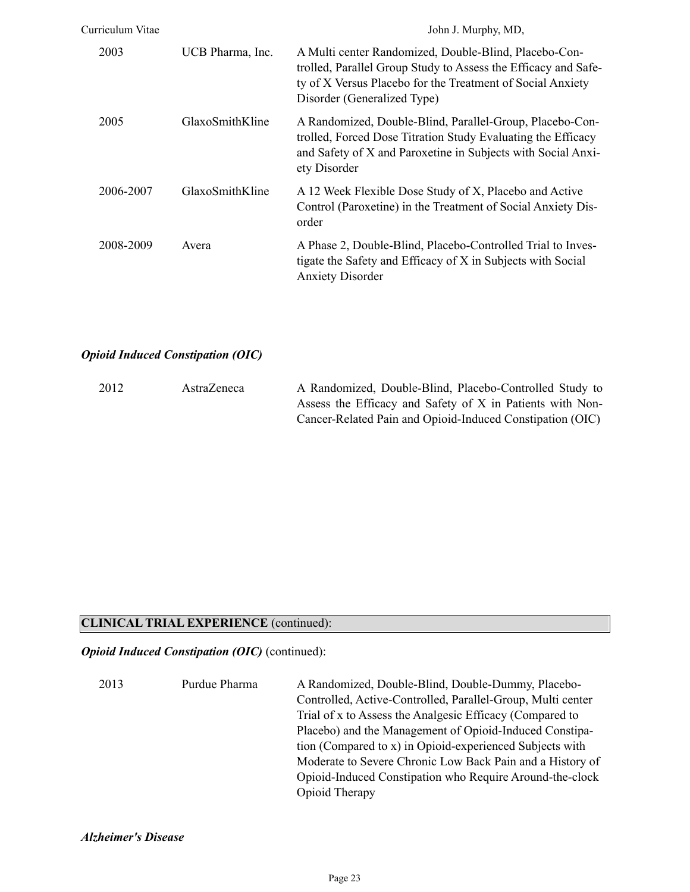| Curriculum Vitae |                  | John J. Murphy, MD,                                                                                                                                                                                                  |
|------------------|------------------|----------------------------------------------------------------------------------------------------------------------------------------------------------------------------------------------------------------------|
| 2003             | UCB Pharma, Inc. | A Multi center Randomized, Double-Blind, Placebo-Con-<br>trolled, Parallel Group Study to Assess the Efficacy and Safe-<br>ty of X Versus Placebo for the Treatment of Social Anxiety<br>Disorder (Generalized Type) |
| 2005             | GlaxoSmithKline  | A Randomized, Double-Blind, Parallel-Group, Placebo-Con-<br>trolled, Forced Dose Titration Study Evaluating the Efficacy<br>and Safety of X and Paroxetine in Subjects with Social Anxi-<br>ety Disorder             |
| 2006-2007        | GlaxoSmithKline  | A 12 Week Flexible Dose Study of X, Placebo and Active<br>Control (Paroxetine) in the Treatment of Social Anxiety Dis-<br>order                                                                                      |
| 2008-2009        | Avera            | A Phase 2, Double-Blind, Placebo-Controlled Trial to Inves-<br>tigate the Safety and Efficacy of X in Subjects with Social<br><b>Anxiety Disorder</b>                                                                |

## *Opioid Induced Constipation (OIC)*

| 2012 | AstraZeneca | A Randomized, Double-Blind, Placebo-Controlled Study to   |
|------|-------------|-----------------------------------------------------------|
|      |             | Assess the Efficacy and Safety of X in Patients with Non- |
|      |             | Cancer-Related Pain and Opioid-Induced Constipation (OIC) |

# **CLINICAL TRIAL EXPERIENCE** (continued):

### *Opioid Induced Constipation (OIC)* (continued):

| 2013 | Purdue Pharma | A Randomized, Double-Blind, Double-Dummy, Placebo-          |
|------|---------------|-------------------------------------------------------------|
|      |               | Controlled, Active-Controlled, Parallel-Group, Multi center |
|      |               | Trial of x to Assess the Analgesic Efficacy (Compared to    |
|      |               | Placebo) and the Management of Opioid-Induced Constipa-     |
|      |               | tion (Compared to x) in Opioid-experienced Subjects with    |
|      |               | Moderate to Severe Chronic Low Back Pain and a History of   |
|      |               | Opioid-Induced Constipation who Require Around-the-clock    |
|      |               | Opioid Therapy                                              |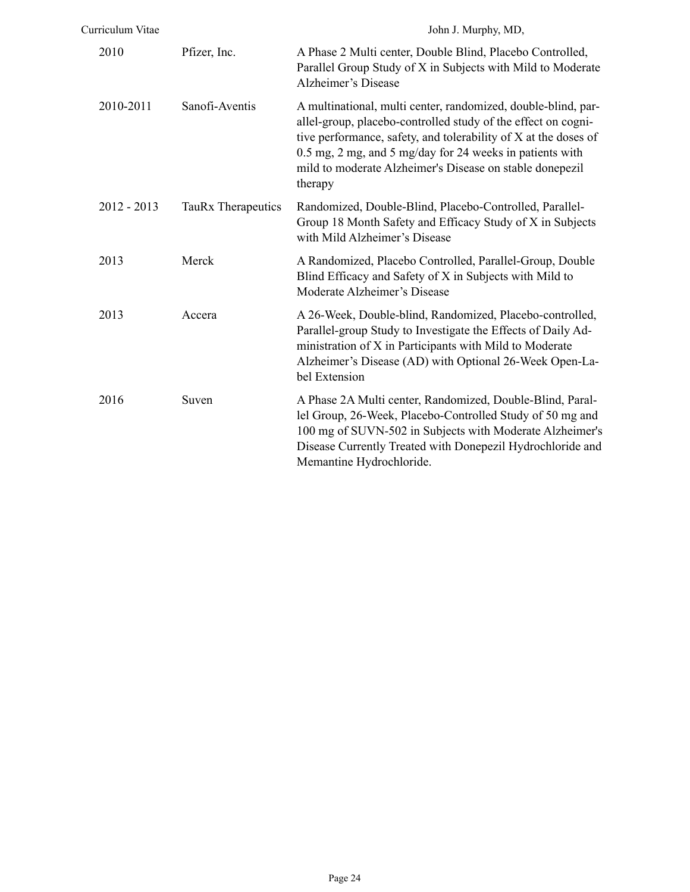| Curriculum Vitae |                    | John J. Murphy, MD,                                                                                                                                                                                                                                                                                                                  |
|------------------|--------------------|--------------------------------------------------------------------------------------------------------------------------------------------------------------------------------------------------------------------------------------------------------------------------------------------------------------------------------------|
| 2010             | Pfizer, Inc.       | A Phase 2 Multi center, Double Blind, Placebo Controlled,<br>Parallel Group Study of X in Subjects with Mild to Moderate<br>Alzheimer's Disease                                                                                                                                                                                      |
| 2010-2011        | Sanofi-Aventis     | A multinational, multi center, randomized, double-blind, par-<br>allel-group, placebo-controlled study of the effect on cogni-<br>tive performance, safety, and tolerability of X at the doses of<br>0.5 mg, 2 mg, and 5 mg/day for 24 weeks in patients with<br>mild to moderate Alzheimer's Disease on stable donepezil<br>therapy |
| $2012 - 2013$    | TauRx Therapeutics | Randomized, Double-Blind, Placebo-Controlled, Parallel-<br>Group 18 Month Safety and Efficacy Study of X in Subjects<br>with Mild Alzheimer's Disease                                                                                                                                                                                |
| 2013             | Merck              | A Randomized, Placebo Controlled, Parallel-Group, Double<br>Blind Efficacy and Safety of X in Subjects with Mild to<br>Moderate Alzheimer's Disease                                                                                                                                                                                  |
| 2013             | Accera             | A 26-Week, Double-blind, Randomized, Placebo-controlled,<br>Parallel-group Study to Investigate the Effects of Daily Ad-<br>ministration of X in Participants with Mild to Moderate<br>Alzheimer's Disease (AD) with Optional 26-Week Open-La-<br>bel Extension                                                                      |
| 2016             | Suven              | A Phase 2A Multi center, Randomized, Double-Blind, Paral-<br>lel Group, 26-Week, Placebo-Controlled Study of 50 mg and<br>100 mg of SUVN-502 in Subjects with Moderate Alzheimer's<br>Disease Currently Treated with Donepezil Hydrochloride and<br>Memantine Hydrochloride.                                                         |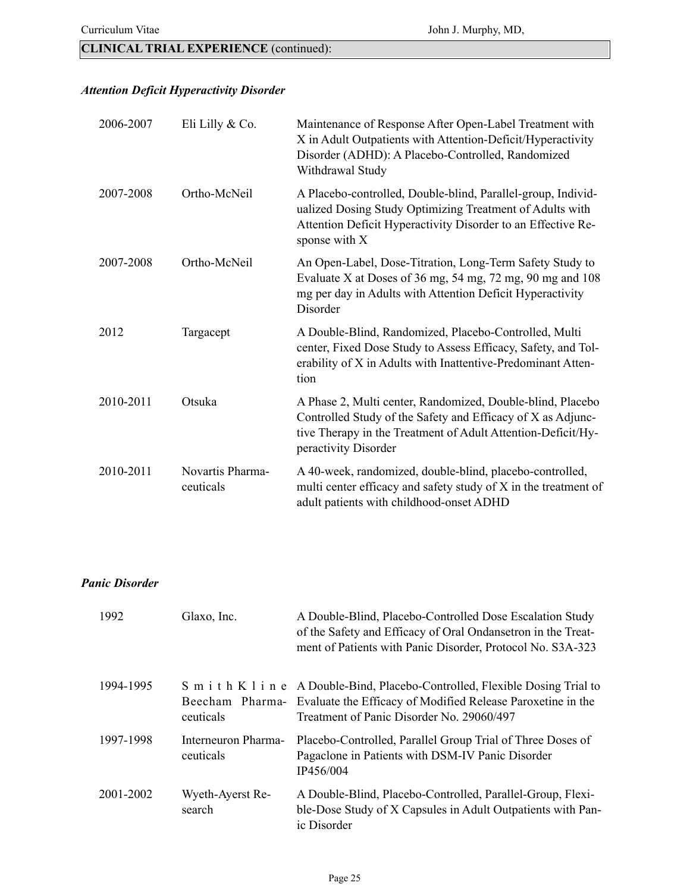### *Attention Deficit Hyperactivity Disorder*

| 2006-2007 | Eli Lilly & Co.               | Maintenance of Response After Open-Label Treatment with<br>X in Adult Outpatients with Attention-Deficit/Hyperactivity<br>Disorder (ADHD): A Placebo-Controlled, Randomized<br>Withdrawal Study                   |
|-----------|-------------------------------|-------------------------------------------------------------------------------------------------------------------------------------------------------------------------------------------------------------------|
| 2007-2008 | Ortho-McNeil                  | A Placebo-controlled, Double-blind, Parallel-group, Individ-<br>ualized Dosing Study Optimizing Treatment of Adults with<br>Attention Deficit Hyperactivity Disorder to an Effective Re-<br>sponse with X         |
| 2007-2008 | Ortho-McNeil                  | An Open-Label, Dose-Titration, Long-Term Safety Study to<br>Evaluate X at Doses of 36 mg, 54 mg, 72 mg, 90 mg and 108<br>mg per day in Adults with Attention Deficit Hyperactivity<br>Disorder                    |
| 2012      | Targacept                     | A Double-Blind, Randomized, Placebo-Controlled, Multi<br>center, Fixed Dose Study to Assess Efficacy, Safety, and Tol-<br>erability of X in Adults with Inattentive-Predominant Atten-<br>tion                    |
| 2010-2011 | Otsuka                        | A Phase 2, Multi center, Randomized, Double-blind, Placebo<br>Controlled Study of the Safety and Efficacy of X as Adjunc-<br>tive Therapy in the Treatment of Adult Attention-Deficit/Hy-<br>peractivity Disorder |
| 2010-2011 | Novartis Pharma-<br>ceuticals | A 40-week, randomized, double-blind, placebo-controlled,<br>multi center efficacy and safety study of X in the treatment of<br>adult patients with childhood-onset ADHD                                           |

#### *Panic Disorder*

| 1992      | Glaxo, Inc.                      | A Double-Blind, Placebo-Controlled Dose Escalation Study<br>of the Safety and Efficacy of Oral Ondansetron in the Treat-<br>ment of Patients with Panic Disorder, Protocol No. S3A-323                      |
|-----------|----------------------------------|-------------------------------------------------------------------------------------------------------------------------------------------------------------------------------------------------------------|
| 1994-1995 | ceuticals                        | S m i t h K l i n e A Double-Bind, Placebo-Controlled, Flexible Dosing Trial to<br>Beecham Pharma- Evaluate the Efficacy of Modified Release Paroxetine in the<br>Treatment of Panic Disorder No. 29060/497 |
| 1997-1998 | Interneuron Pharma-<br>ceuticals | Placebo-Controlled, Parallel Group Trial of Three Doses of<br>Pagaclone in Patients with DSM-IV Panic Disorder<br>IP456/004                                                                                 |
| 2001-2002 | Wyeth-Ayerst Re-<br>search       | A Double-Blind, Placebo-Controlled, Parallel-Group, Flexi-<br>ble-Dose Study of X Capsules in Adult Outpatients with Pan-<br>ic Disorder                                                                    |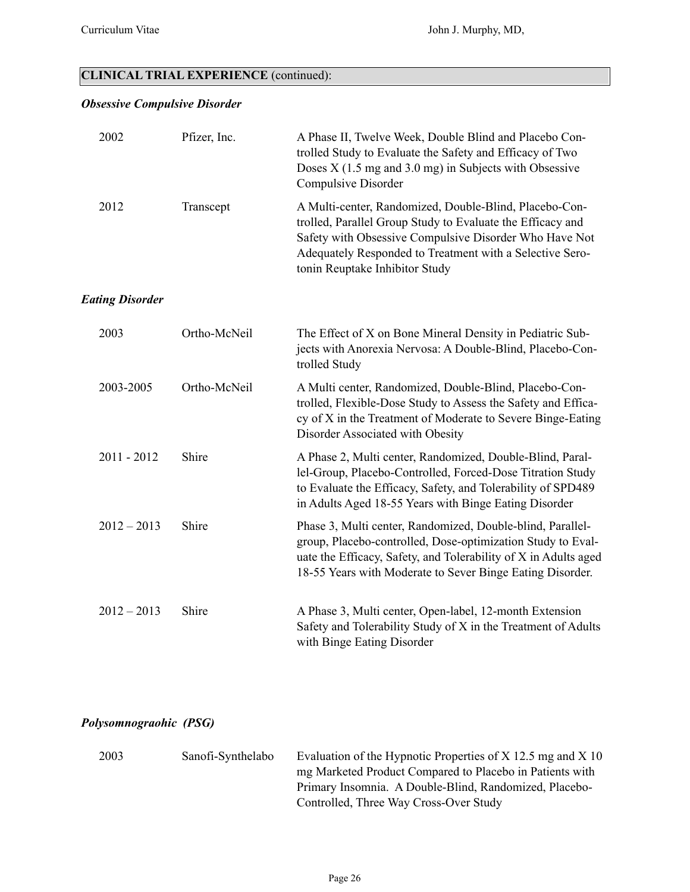#### *Obsessive Compulsive Disorder*

| 2002                   | Pfizer, Inc. | A Phase II, Twelve Week, Double Blind and Placebo Con-<br>trolled Study to Evaluate the Safety and Efficacy of Two<br>Doses $X(1.5 \text{ mg and } 3.0 \text{ mg})$ in Subjects with Obsessive<br>Compulsive Disorder                                                        |
|------------------------|--------------|------------------------------------------------------------------------------------------------------------------------------------------------------------------------------------------------------------------------------------------------------------------------------|
| 2012                   | Transcept    | A Multi-center, Randomized, Double-Blind, Placebo-Con-<br>trolled, Parallel Group Study to Evaluate the Efficacy and<br>Safety with Obsessive Compulsive Disorder Who Have Not<br>Adequately Responded to Treatment with a Selective Sero-<br>tonin Reuptake Inhibitor Study |
| <b>Eating Disorder</b> |              |                                                                                                                                                                                                                                                                              |
| 2003                   | Ortho-McNeil | The Effect of X on Bone Mineral Density in Pediatric Sub-<br>jects with Anorexia Nervosa: A Double-Blind, Placebo-Con-<br>trolled Study                                                                                                                                      |
| 2003-2005              | Ortho-McNeil | A Multi center, Randomized, Double-Blind, Placebo-Con-<br>trolled, Flexible-Dose Study to Assess the Safety and Effica-<br>cy of X in the Treatment of Moderate to Severe Binge-Eating<br>Disorder Associated with Obesity                                                   |
| 2011 - 2012            | Shire        | A Phase 2, Multi center, Randomized, Double-Blind, Paral-<br>lel-Group, Placebo-Controlled, Forced-Dose Titration Study<br>to Evaluate the Efficacy, Safety, and Tolerability of SPD489<br>in Adults Aged 18-55 Years with Binge Eating Disorder                             |
| $2012 - 2013$          | Shire        | Phase 3, Multi center, Randomized, Double-blind, Parallel-<br>group, Placebo-controlled, Dose-optimization Study to Eval-<br>uate the Efficacy, Safety, and Tolerability of X in Adults aged<br>18-55 Years with Moderate to Sever Binge Eating Disorder.                    |
| $2012 - 2013$          | Shire        | A Phase 3, Multi center, Open-label, 12-month Extension<br>Safety and Tolerability Study of X in the Treatment of Adults<br>with Binge Eating Disorder                                                                                                                       |

#### *Polysomnograohic (PSG)*

| 2003 | Sanofi-Synthelabo | Evaluation of the Hypnotic Properties of $X$ 12.5 mg and $X$ 10 |
|------|-------------------|-----------------------------------------------------------------|
|      |                   | mg Marketed Product Compared to Placebo in Patients with        |
|      |                   | Primary Insomnia. A Double-Blind, Randomized, Placebo-          |
|      |                   | Controlled, Three Way Cross-Over Study                          |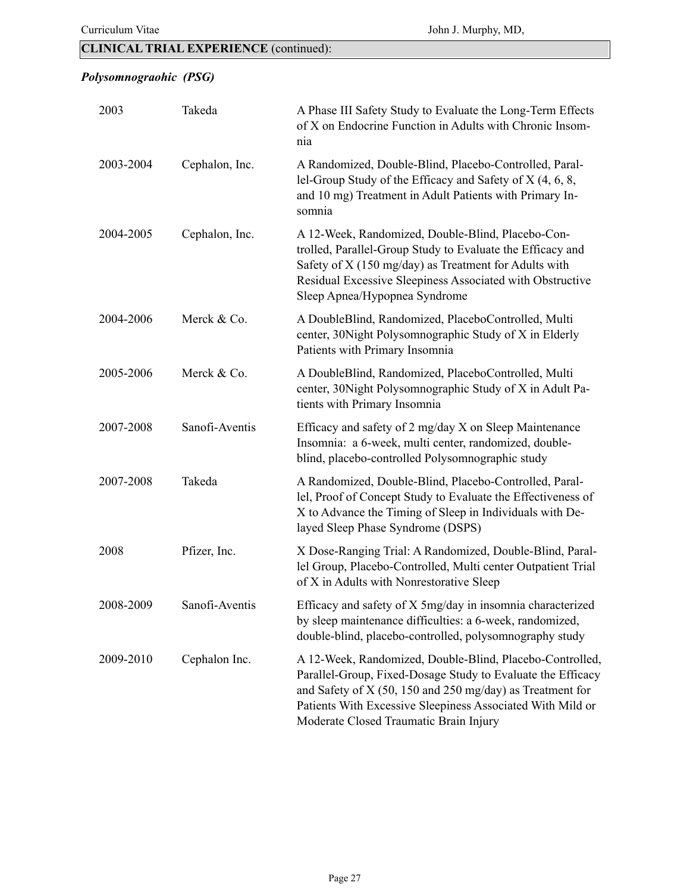### *Polysomnograohic (PSG)*

| 2003      | Takeda         | A Phase III Safety Study to Evaluate the Long-Term Effects<br>of X on Endocrine Function in Adults with Chronic Insom-<br>nia                                                                                                                                                                |
|-----------|----------------|----------------------------------------------------------------------------------------------------------------------------------------------------------------------------------------------------------------------------------------------------------------------------------------------|
| 2003-2004 | Cephalon, Inc. | A Randomized, Double-Blind, Placebo-Controlled, Paral-<br>lel-Group Study of the Efficacy and Safety of $X$ (4, 6, 8,<br>and 10 mg) Treatment in Adult Patients with Primary In-<br>somnia                                                                                                   |
| 2004-2005 | Cephalon, Inc. | A 12-Week, Randomized, Double-Blind, Placebo-Con-<br>trolled, Parallel-Group Study to Evaluate the Efficacy and<br>Safety of X (150 mg/day) as Treatment for Adults with<br>Residual Excessive Sleepiness Associated with Obstructive<br>Sleep Apnea/Hypopnea Syndrome                       |
| 2004-2006 | Merck & Co.    | A DoubleBlind, Randomized, PlaceboControlled, Multi<br>center, 30Night Polysomnographic Study of X in Elderly<br>Patients with Primary Insomnia                                                                                                                                              |
| 2005-2006 | Merck & Co.    | A DoubleBlind, Randomized, PlaceboControlled, Multi<br>center, 30Night Polysomnographic Study of X in Adult Pa-<br>tients with Primary Insomnia                                                                                                                                              |
| 2007-2008 | Sanofi-Aventis | Efficacy and safety of 2 mg/day X on Sleep Maintenance<br>Insomnia: a 6-week, multi center, randomized, double-<br>blind, placebo-controlled Polysomnographic study                                                                                                                          |
| 2007-2008 | Takeda         | A Randomized, Double-Blind, Placebo-Controlled, Paral-<br>lel, Proof of Concept Study to Evaluate the Effectiveness of<br>X to Advance the Timing of Sleep in Individuals with De-<br>layed Sleep Phase Syndrome (DSPS)                                                                      |
| 2008      | Pfizer, Inc.   | X Dose-Ranging Trial: A Randomized, Double-Blind, Paral-<br>lel Group, Placebo-Controlled, Multi center Outpatient Trial<br>of X in Adults with Nonrestorative Sleep                                                                                                                         |
| 2008-2009 | Sanofi-Aventis | Efficacy and safety of X 5mg/day in insomnia characterized<br>by sleep maintenance difficulties: a 6-week, randomized,<br>double-blind, placebo-controlled, polysomnography study                                                                                                            |
| 2009-2010 | Cephalon Inc.  | A 12-Week, Randomized, Double-Blind, Placebo-Controlled,<br>Parallel-Group, Fixed-Dosage Study to Evaluate the Efficacy<br>and Safety of X (50, 150 and 250 mg/day) as Treatment for<br>Patients With Excessive Sleepiness Associated With Mild or<br>Moderate Closed Traumatic Brain Injury |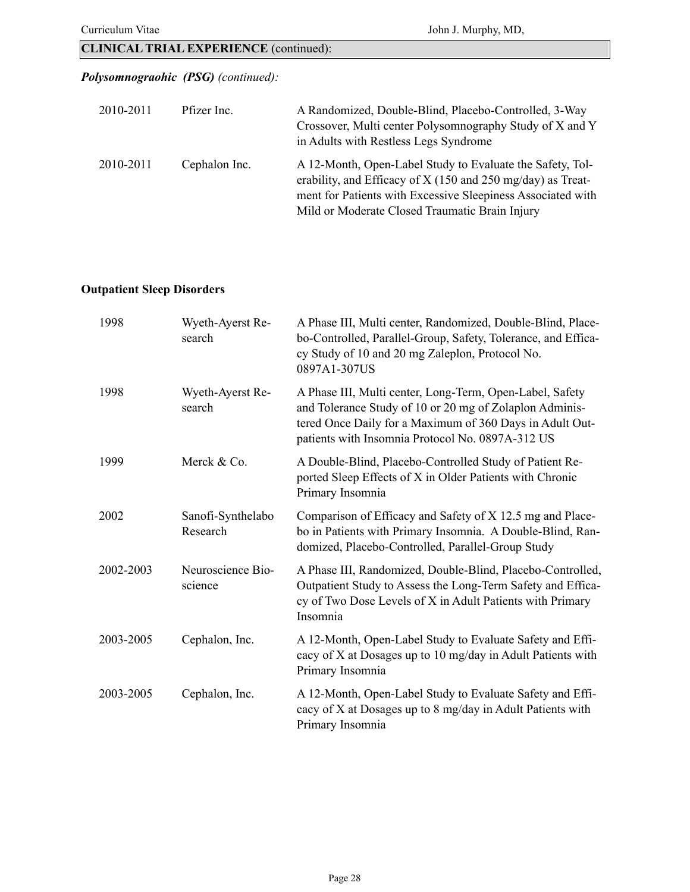#### *Polysomnograohic (PSG) (continued):*

| 2010-2011 | Pfizer Inc.   | A Randomized, Double-Blind, Placebo-Controlled, 3-Way<br>Crossover, Multi center Polysomnography Study of X and Y<br>in Adults with Restless Legs Syndrome                                                                                |
|-----------|---------------|-------------------------------------------------------------------------------------------------------------------------------------------------------------------------------------------------------------------------------------------|
| 2010-2011 | Cephalon Inc. | A 12-Month, Open-Label Study to Evaluate the Safety, Tol-<br>erability, and Efficacy of X (150 and 250 mg/day) as Treat-<br>ment for Patients with Excessive Sleepiness Associated with<br>Mild or Moderate Closed Traumatic Brain Injury |

#### **Outpatient Sleep Disorders**

| 1998      | Wyeth-Ayerst Re-<br>search    | A Phase III, Multi center, Randomized, Double-Blind, Place-<br>bo-Controlled, Parallel-Group, Safety, Tolerance, and Effica-<br>cy Study of 10 and 20 mg Zaleplon, Protocol No.<br>0897A1-307US                                     |
|-----------|-------------------------------|-------------------------------------------------------------------------------------------------------------------------------------------------------------------------------------------------------------------------------------|
| 1998      | Wyeth-Ayerst Re-<br>search    | A Phase III, Multi center, Long-Term, Open-Label, Safety<br>and Tolerance Study of 10 or 20 mg of Zolaplon Adminis-<br>tered Once Daily for a Maximum of 360 Days in Adult Out-<br>patients with Insomnia Protocol No. 0897A-312 US |
| 1999      | Merck & Co.                   | A Double-Blind, Placebo-Controlled Study of Patient Re-<br>ported Sleep Effects of X in Older Patients with Chronic<br>Primary Insomnia                                                                                             |
| 2002      | Sanofi-Synthelabo<br>Research | Comparison of Efficacy and Safety of X 12.5 mg and Place-<br>bo in Patients with Primary Insomnia. A Double-Blind, Ran-<br>domized, Placebo-Controlled, Parallel-Group Study                                                        |
| 2002-2003 | Neuroscience Bio-<br>science  | A Phase III, Randomized, Double-Blind, Placebo-Controlled,<br>Outpatient Study to Assess the Long-Term Safety and Effica-<br>cy of Two Dose Levels of X in Adult Patients with Primary<br>Insomnia                                  |
| 2003-2005 | Cephalon, Inc.                | A 12-Month, Open-Label Study to Evaluate Safety and Effi-<br>cacy of X at Dosages up to 10 mg/day in Adult Patients with<br>Primary Insomnia                                                                                        |
| 2003-2005 | Cephalon, Inc.                | A 12-Month, Open-Label Study to Evaluate Safety and Effi-<br>cacy of X at Dosages up to 8 mg/day in Adult Patients with<br>Primary Insomnia                                                                                         |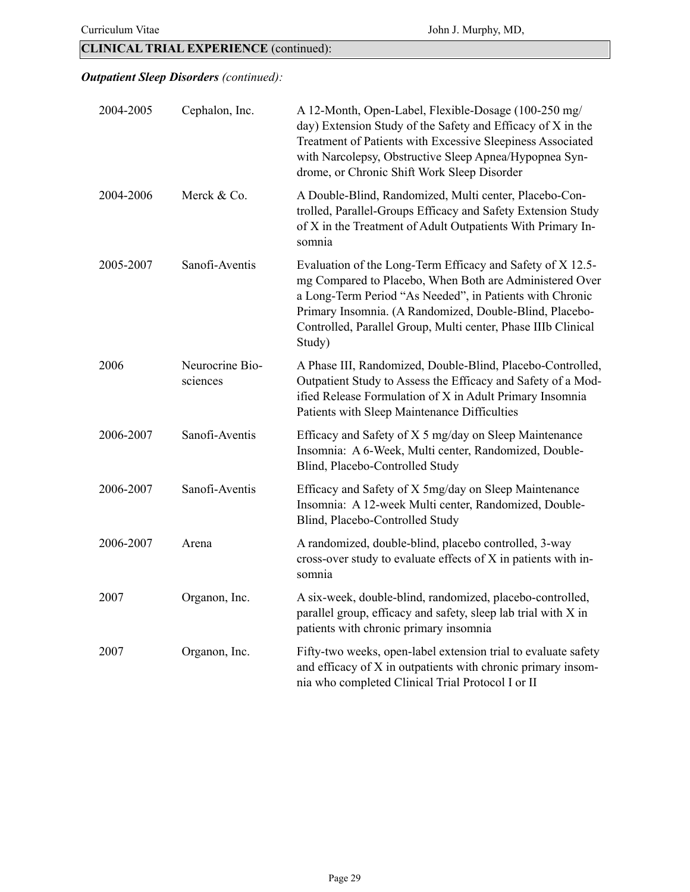#### *Outpatient Sleep Disorders (continued):*

| 2004-2005 | Cephalon, Inc.              | A 12-Month, Open-Label, Flexible-Dosage (100-250 mg/<br>day) Extension Study of the Safety and Efficacy of X in the<br>Treatment of Patients with Excessive Sleepiness Associated<br>with Narcolepsy, Obstructive Sleep Apnea/Hypopnea Syn-<br>drome, or Chronic Shift Work Sleep Disorder                              |
|-----------|-----------------------------|-------------------------------------------------------------------------------------------------------------------------------------------------------------------------------------------------------------------------------------------------------------------------------------------------------------------------|
| 2004-2006 | Merck & Co.                 | A Double-Blind, Randomized, Multi center, Placebo-Con-<br>trolled, Parallel-Groups Efficacy and Safety Extension Study<br>of X in the Treatment of Adult Outpatients With Primary In-<br>somnia                                                                                                                         |
| 2005-2007 | Sanofi-Aventis              | Evaluation of the Long-Term Efficacy and Safety of X 12.5-<br>mg Compared to Placebo, When Both are Administered Over<br>a Long-Term Period "As Needed", in Patients with Chronic<br>Primary Insomnia. (A Randomized, Double-Blind, Placebo-<br>Controlled, Parallel Group, Multi center, Phase IIIb Clinical<br>Study) |
| 2006      | Neurocrine Bio-<br>sciences | A Phase III, Randomized, Double-Blind, Placebo-Controlled,<br>Outpatient Study to Assess the Efficacy and Safety of a Mod-<br>ified Release Formulation of X in Adult Primary Insomnia<br>Patients with Sleep Maintenance Difficulties                                                                                  |
| 2006-2007 | Sanofi-Aventis              | Efficacy and Safety of X 5 mg/day on Sleep Maintenance<br>Insomnia: A 6-Week, Multi center, Randomized, Double-<br>Blind, Placebo-Controlled Study                                                                                                                                                                      |
| 2006-2007 | Sanofi-Aventis              | Efficacy and Safety of X 5mg/day on Sleep Maintenance<br>Insomnia: A 12-week Multi center, Randomized, Double-<br>Blind, Placebo-Controlled Study                                                                                                                                                                       |
| 2006-2007 | Arena                       | A randomized, double-blind, placebo controlled, 3-way<br>cross-over study to evaluate effects of X in patients with in-<br>somnia                                                                                                                                                                                       |
| 2007      | Organon, Inc.               | A six-week, double-blind, randomized, placebo-controlled,<br>parallel group, efficacy and safety, sleep lab trial with X in<br>patients with chronic primary insomnia                                                                                                                                                   |
| 2007      | Organon, Inc.               | Fifty-two weeks, open-label extension trial to evaluate safety<br>and efficacy of X in outpatients with chronic primary insom-<br>nia who completed Clinical Trial Protocol I or II                                                                                                                                     |